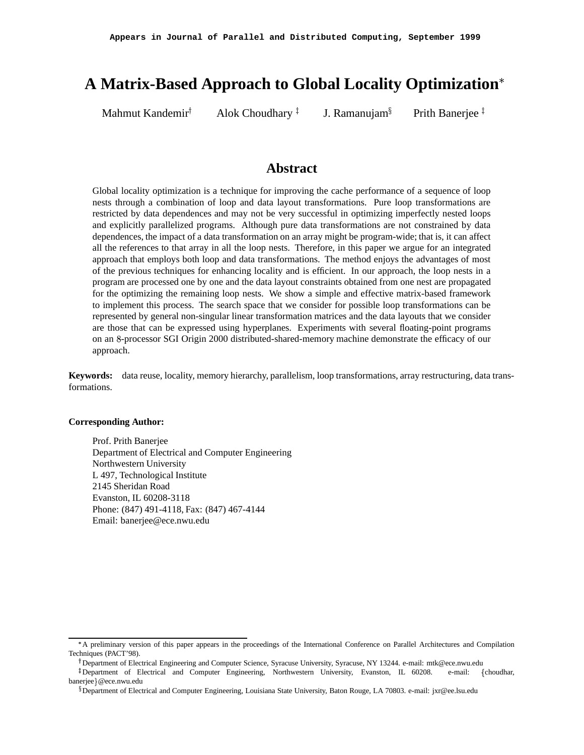# **A Matrix-Based Approach to Global Locality Optimization**

Mahmut Kandemir

Alok Choudhary<sup> $\ddagger$ </sup>

J. Ramanujam

Prith Baneriee  $<sup>†</sup>$ </sup>

# **Abstract**

Global locality optimization is a technique for improving the cache performance of a sequence of loop nests through a combination of loop and data layout transformations. Pure loop transformations are restricted by data dependences and may not be very successful in optimizing imperfectly nested loops and explicitly parallelized programs. Although pure data transformations are not constrained by data dependences, the impact of a data transformation on an array might be program-wide; that is, it can affect all the references to that array in all the loop nests. Therefore, in this paper we argue for an integrated approach that employs both loop and data transformations. The method enjoys the advantages of most of the previous techniques for enhancing locality and is efficient. In our approach, the loop nests in a program are processed one by one and the data layout constraints obtained from one nest are propagated for the optimizing the remaining loop nests. We show a simple and effective matrix-based framework to implement this process. The search space that we consider for possible loop transformations can be represented by general non-singular linear transformation matrices and the data layouts that we consider are those that can be expressed using hyperplanes. Experiments with several floating-point programs on an 8-processor SGI Origin 2000 distributed-shared-memory machine demonstrate the efficacy of our approach.

**Keywords:** data reuse, locality, memory hierarchy, parallelism, loop transformations, array restructuring, data transformations.

#### **Corresponding Author:**

Prof. Prith Banerjee Department of Electrical and Computer Engineering Northwestern University L 497, Technological Institute 2145 Sheridan Road Evanston, IL 60208-3118 Phone: (847) 491-4118, Fax: (847) 467-4144 Email: banerjee@ece.nwu.edu

A preliminary version of this paper appears in the proceedings of the International Conference on Parallel Architectures and Compilation Techniques (PACT'98).

Department of Electrical Engineering and Computer Science, Syracuse University, Syracuse, NY 13244. e-mail: mtk@ece.nwu.edu

<sup>&</sup>lt;sup>‡</sup>Department of Electrical and Computer Engineering, Northwestern University, Evanston, IL 60208. e-mail: {choudhar, banerjee}@ece.nwu.edu

 Department of Electrical and Computer Engineering, Louisiana State University, Baton Rouge, LA 70803. e-mail: jxr@ee.lsu.edu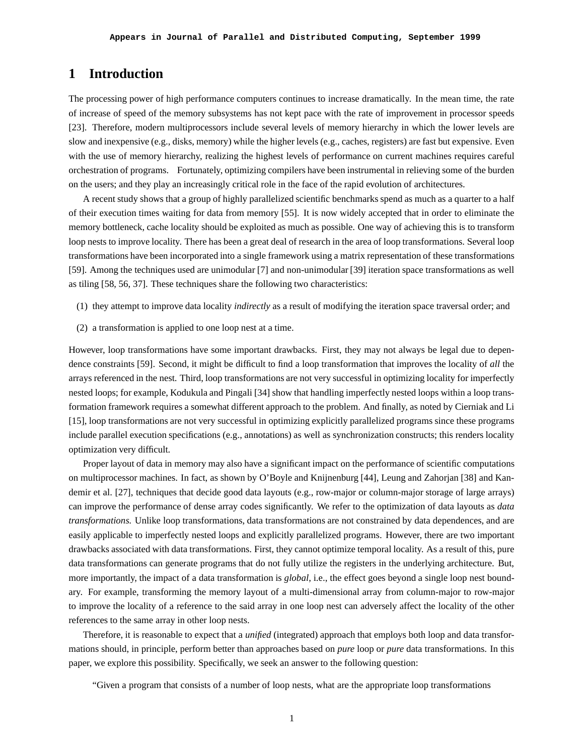# **1 Introduction**

The processing power of high performance computers continues to increase dramatically. In the mean time, the rate of increase of speed of the memory subsystems has not kept pace with the rate of improvement in processor speeds [23]. Therefore, modern multiprocessors include several levels of memory hierarchy in which the lower levels are slow and inexpensive (e.g., disks, memory) while the higher levels (e.g., caches, registers) are fast but expensive. Even with the use of memory hierarchy, realizing the highest levels of performance on current machines requires careful orchestration of programs. Fortunately, optimizing compilers have been instrumental in relieving some of the burden on the users; and they play an increasingly critical role in the face of the rapid evolution of architectures.

A recent study shows that a group of highly parallelized scientific benchmarks spend as much as a quarter to a half of their execution times waiting for data from memory [55]. It is now widely accepted that in order to eliminate the memory bottleneck, cache locality should be exploited as much as possible. One way of achieving this is to transform loop nests to improve locality. There has been a great deal of research in the area of loop transformations. Several loop transformations have been incorporated into a single framework using a matrix representation of these transformations [59]. Among the techniques used are unimodular [7] and non-unimodular [39] iteration space transformations as well as tiling [58, 56, 37]. These techniques share the following two characteristics:

- (1) they attempt to improve data locality *indirectly* as a result of modifying the iteration space traversal order; and
- (2) a transformation is applied to one loop nest at a time.

However, loop transformations have some important drawbacks. First, they may not always be legal due to dependence constraints [59]. Second, it might be difficult to find a loop transformation that improves the locality of *all* the arrays referenced in the nest. Third, loop transformations are not very successful in optimizing locality for imperfectly nested loops; for example, Kodukula and Pingali [34] show that handling imperfectly nested loops within a loop transformation framework requires a somewhat different approach to the problem. And finally, as noted by Cierniak and Li [15], loop transformations are not very successful in optimizing explicitly parallelized programs since these programs include parallel execution specifications (e.g., annotations) as well as synchronization constructs; this renders locality optimization very difficult.

Proper layout of data in memory may also have a significant impact on the performance of scientific computations on multiprocessor machines. In fact, as shown by O'Boyle and Knijnenburg [44], Leung and Zahorjan [38] and Kandemir et al. [27], techniques that decide good data layouts (e.g., row-major or column-major storage of large arrays) can improve the performance of dense array codes significantly. We refer to the optimization of data layouts as *data transformations.* Unlike loop transformations, data transformations are not constrained by data dependences, and are easily applicable to imperfectly nested loops and explicitly parallelized programs. However, there are two important drawbacks associated with data transformations. First, they cannot optimize temporal locality. As a result of this, pure data transformations can generate programs that do not fully utilize the registers in the underlying architecture. But, more importantly, the impact of a data transformation is *global*, i.e., the effect goes beyond a single loop nest boundary. For example, transforming the memory layout of a multi-dimensional array from column-major to row-major to improve the locality of a reference to the said array in one loop nest can adversely affect the locality of the other references to the same array in other loop nests.

Therefore, it is reasonable to expect that a *unified* (integrated) approach that employs both loop and data transformations should, in principle, perform better than approaches based on *pure* loop or *pure* data transformations. In this paper, we explore this possibility. Specifically, we seek an answer to the following question:

"Given a program that consists of a number of loop nests, what are the appropriate loop transformations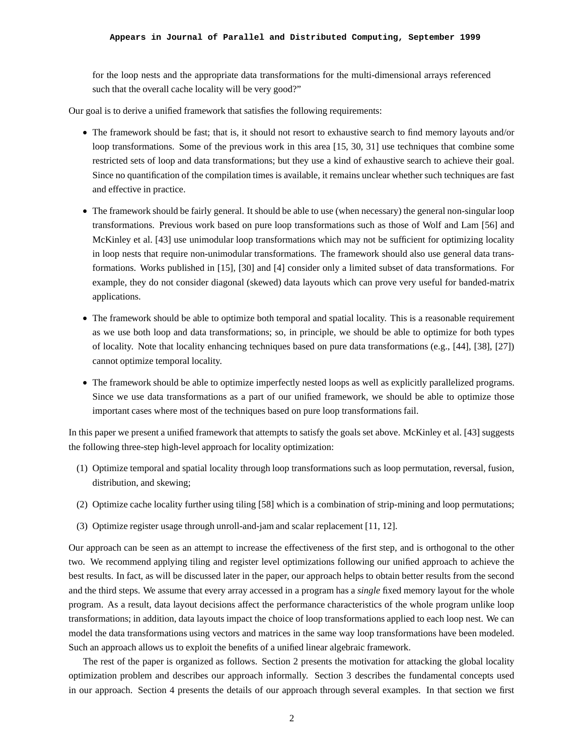for the loop nests and the appropriate data transformations for the multi-dimensional arrays referenced such that the overall cache locality will be very good?"

Our goal is to derive a unified framework that satisfies the following requirements:

- The framework should be fast; that is, it should not resort to exhaustive search to find memory layouts and/or loop transformations. Some of the previous work in this area [15, 30, 31] use techniques that combine some restricted sets of loop and data transformations; but they use a kind of exhaustive search to achieve their goal. Since no quantification of the compilation times is available, it remains unclear whether such techniques are fast and effective in practice.
- The framework should be fairly general. It should be able to use (when necessary) the general non-singular loop transformations. Previous work based on pure loop transformations such as those of Wolf and Lam [56] and McKinley et al. [43] use unimodular loop transformations which may not be sufficient for optimizing locality in loop nests that require non-unimodular transformations. The framework should also use general data transformations. Works published in [15], [30] and [4] consider only a limited subset of data transformations. For example, they do not consider diagonal (skewed) data layouts which can prove very useful for banded-matrix applications.
- The framework should be able to optimize both temporal and spatial locality. This is a reasonable requirement as we use both loop and data transformations; so, in principle, we should be able to optimize for both types of locality. Note that locality enhancing techniques based on pure data transformations (e.g., [44], [38], [27]) cannot optimize temporal locality.
- The framework should be able to optimize imperfectly nested loops as well as explicitly parallelized programs. Since we use data transformations as a part of our unified framework, we should be able to optimize those important cases where most of the techniques based on pure loop transformations fail.

In this paper we present a unified framework that attempts to satisfy the goals set above. McKinley et al. [43] suggests the following three-step high-level approach for locality optimization:

- (1) Optimize temporal and spatial locality through loop transformations such as loop permutation, reversal, fusion, distribution, and skewing;
- (2) Optimize cache locality further using tiling [58] which is a combination of strip-mining and loop permutations;
- (3) Optimize register usage through unroll-and-jam and scalar replacement [11, 12].

Our approach can be seen as an attempt to increase the effectiveness of the first step, and is orthogonal to the other two. We recommend applying tiling and register level optimizations following our unified approach to achieve the best results. In fact, as will be discussed later in the paper, our approach helps to obtain better results from the second and the third steps. We assume that every array accessed in a program has a *single* fixed memory layout for the whole program. As a result, data layout decisions affect the performance characteristics of the whole program unlike loop transformations; in addition, data layouts impact the choice of loop transformations applied to each loop nest. We can model the data transformations using vectors and matrices in the same way loop transformations have been modeled. Such an approach allows us to exploit the benefits of a unified linear algebraic framework.

The rest of the paper is organized as follows. Section 2 presents the motivation for attacking the global locality optimization problem and describes our approach informally. Section 3 describes the fundamental concepts used in our approach. Section 4 presents the details of our approach through several examples. In that section we first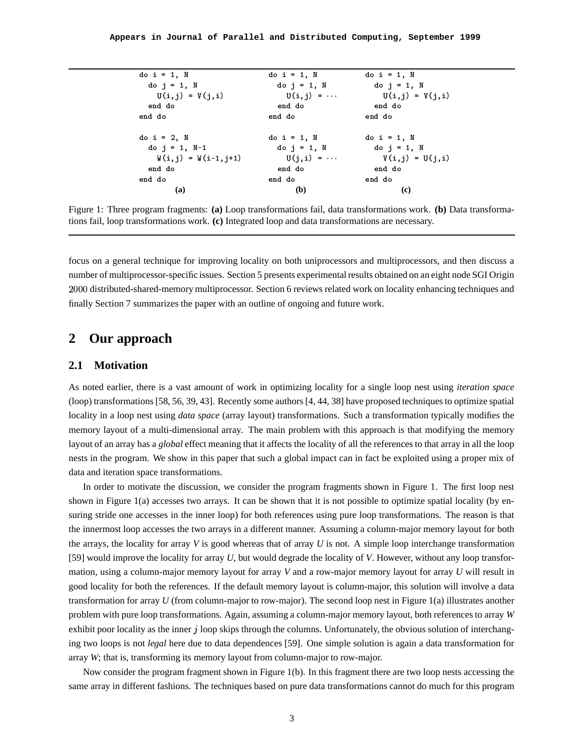#### **Appears in Journal of Parallel and Distributed Computing, September 1999**

| do i = 1, $N$     | do $i = 1, N$       |
|-------------------|---------------------|
| do j = 1, N       | do j = 1, N         |
| $U(i, j) = $      | $U(i, i) = V(i, i)$ |
| end do            | end do              |
| end do            | end do              |
|                   |                     |
| do i = 1, N       | do i = 1, N         |
| do j = 1, N       | do $j = 1, N$       |
| $U(i,i) = \cdots$ | $V(i, i) = U(i, i)$ |
| end do            | end do              |
| end do            | end do              |
| (b)               | (c)                 |
|                   |                     |

Figure 1: Three program fragments: **(a)** Loop transformations fail, data transformations work. **(b)** Data transformations fail, loop transformations work. **(c)** Integrated loop and data transformations are necessary.

focus on a general technique for improving locality on both uniprocessors and multiprocessors, and then discuss a number of multiprocessor-specific issues. Section 5 presents experimental results obtained on an eight node SGI Origin 1
2)22 distributed-shared-memory multiprocessor. Section 6 reviews related work on locality enhancing techniques and finally Section 7 summarizes the paper with an outline of ongoing and future work.

## **2 Our approach**

### **2.1 Motivation**

As noted earlier, there is a vast amount of work in optimizing locality for a single loop nest using *iteration space* (loop) transformations[58, 56, 39, 43]. Recently some authors [4, 44, 38] have proposed techniquesto optimize spatial locality in a loop nest using *data space* (array layout) transformations. Such a transformation typically modifies the memory layout of a multi-dimensional array. The main problem with this approach is that modifying the memory layout of an array has a *global* effect meaning that it affects the locality of all the references to that array in all the loop nests in the program. We show in this paper that such a global impact can in fact be exploited using a proper mix of data and iteration space transformations.

In order to motivate the discussion, we consider the program fragments shown in Figure 1. The first loop nest shown in Figure 1(a) accesses two arrays. It can be shown that it is not possible to optimize spatial locality (by ensuring stride one accesses in the inner loop) for both references using pure loop transformations. The reason is that the innermost loop accesses the two arrays in a different manner. Assuming a column-major memory layout for both the arrays, the locality for array *V* is good whereas that of array *U* is not. A simple loop interchange transformation [59] would improve the locality for array *U*, but would degrade the locality of *V*. However, without any loop transformation, using a column-major memory layout for array *V* and a row-major memory layout for array *U* will result in good locality for both the references. If the default memory layout is column-major, this solution will involve a data transformation for array *U* (from column-major to row-major). The second loop nest in Figure 1(a) illustrates another problem with pure loop transformations. Again, assuming a column-major memory layout, both references to array *W* exhibit poor locality as the inner  $j$  loop skips through the columns. Unfortunately, the obvious solution of interchanging two loops is not *legal* here due to data dependences [59]. One simple solution is again a data transformation for array *W*; that is, transforming its memory layout from column-major to row-major.

Now consider the program fragment shown in Figure 1(b). In this fragment there are two loop nests accessing the same array in different fashions. The techniques based on pure data transformations cannot do much for this program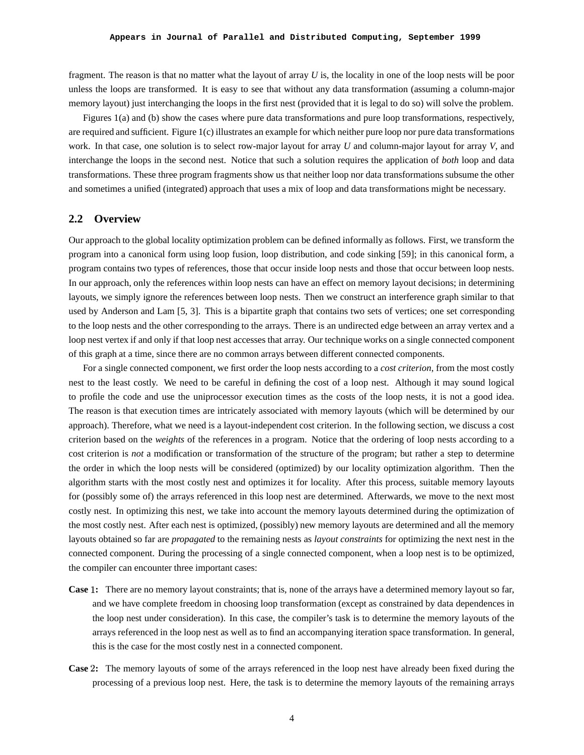#### **Appears in Journal of Parallel and Distributed Computing, September 1999**

fragment. The reason is that no matter what the layout of array *U* is, the locality in one of the loop nests will be poor unless the loops are transformed. It is easy to see that without any data transformation (assuming a column-major memory layout) just interchanging the loops in the first nest (provided that it is legal to do so) will solve the problem.

Figures 1(a) and (b) show the cases where pure data transformations and pure loop transformations, respectively, are required and sufficient. Figure 1(c) illustrates an example for which neither pure loop nor pure data transformations work. In that case, one solution is to select row-major layout for array *U* and column-major layout for array *V*, and interchange the loops in the second nest. Notice that such a solution requires the application of *both* loop and data transformations. These three program fragments show us that neither loop nor data transformations subsume the other and sometimes a unified (integrated) approach that uses a mix of loop and data transformations might be necessary.

### **2.2 Overview**

Our approach to the global locality optimization problem can be defined informally as follows. First, we transform the program into a canonical form using loop fusion, loop distribution, and code sinking [59]; in this canonical form, a program contains two types of references, those that occur inside loop nests and those that occur between loop nests. In our approach, only the references within loop nests can have an effect on memory layout decisions; in determining layouts, we simply ignore the references between loop nests. Then we construct an interference graph similar to that used by Anderson and Lam [5, 3]. This is a bipartite graph that contains two sets of vertices; one set corresponding to the loop nests and the other corresponding to the arrays. There is an undirected edge between an array vertex and a loop nest vertex if and only if that loop nest accesses that array. Our technique works on a single connected component of this graph at a time, since there are no common arrays between different connected components.

For a single connected component, we first order the loop nests according to a *cost criterion*, from the most costly nest to the least costly. We need to be careful in defining the cost of a loop nest. Although it may sound logical to profile the code and use the uniprocessor execution times as the costs of the loop nests, it is not a good idea. The reason is that execution times are intricately associated with memory layouts (which will be determined by our approach). Therefore, what we need is a layout-independent cost criterion. In the following section, we discuss a cost criterion based on the *weights* of the references in a program. Notice that the ordering of loop nests according to a cost criterion is *not* a modification or transformation of the structure of the program; but rather a step to determine the order in which the loop nests will be considered (optimized) by our locality optimization algorithm. Then the algorithm starts with the most costly nest and optimizes it for locality. After this process, suitable memory layouts for (possibly some of) the arrays referenced in this loop nest are determined. Afterwards, we move to the next most costly nest. In optimizing this nest, we take into account the memory layouts determined during the optimization of the most costly nest. After each nest is optimized, (possibly) new memory layouts are determined and all the memory layouts obtained so far are *propagated* to the remaining nests as *layout constraints* for optimizing the next nest in the connected component. During the processing of a single connected component, when a loop nest is to be optimized, the compiler can encounter three important cases:

- **Case 1:** There are no memory layout constraints; that is, none of the arrays have a determined memory layout so far, and we have complete freedom in choosing loop transformation (except as constrained by data dependences in the loop nest under consideration). In this case, the compiler's task is to determine the memory layouts of the arrays referenced in the loop nest as well as to find an accompanying iteration space transformation. In general, this is the case for the most costly nest in a connected component.
- **Case** 2: The memory layouts of some of the arrays referenced in the loop nest have already been fixed during the processing of a previous loop nest. Here, the task is to determine the memory layouts of the remaining arrays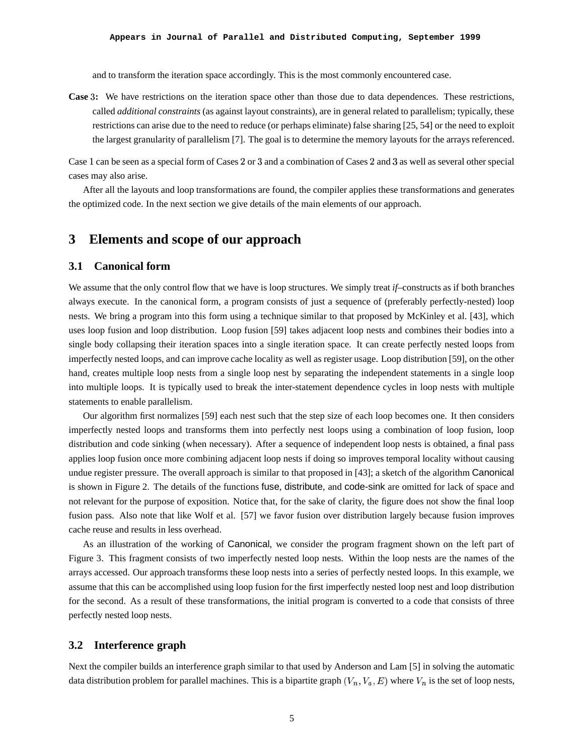and to transform the iteration space accordingly. This is the most commonly encountered case.

**Case :** We have restrictions on the iteration space other than those due to data dependences. These restrictions, called *additional constraints* (as against layout constraints), are in general related to parallelism; typically, these restrictions can arise due to the need to reduce (or perhaps eliminate) false sharing [25, 54] or the need to exploit the largest granularity of parallelism [7]. The goal is to determine the memory layouts for the arrays referenced.

Case 1 can be seen as a special form of Cases 2 or 3 and a combination of Cases 2 and 3 as well as several other special cases may also arise.

After all the layouts and loop transformations are found, the compiler applies these transformations and generates the optimized code. In the next section we give details of the main elements of our approach.

## **3 Elements and scope of our approach**

### **3.1 Canonical form**

We assume that the only control flow that we have is loop structures. We simply treat *if*–constructs as if both branches always execute. In the canonical form, a program consists of just a sequence of (preferably perfectly-nested) loop nests. We bring a program into this form using a technique similar to that proposed by McKinley et al. [43], which uses loop fusion and loop distribution. Loop fusion [59] takes adjacent loop nests and combines their bodies into a single body collapsing their iteration spaces into a single iteration space. It can create perfectly nested loops from imperfectly nested loops, and can improve cache locality as well as register usage. Loop distribution [59], on the other hand, creates multiple loop nests from a single loop nest by separating the independent statements in a single loop into multiple loops. It is typically used to break the inter-statement dependence cycles in loop nests with multiple statements to enable parallelism.

Our algorithm first normalizes [59] each nest such that the step size of each loop becomes one. It then considers imperfectly nested loops and transforms them into perfectly nest loops using a combination of loop fusion, loop distribution and code sinking (when necessary). After a sequence of independent loop nests is obtained, a final pass applies loop fusion once more combining adjacent loop nests if doing so improves temporal locality without causing undue register pressure. The overall approach is similar to that proposed in [43]; a sketch of the algorithm Canonical is shown in Figure 2. The details of the functions fuse, distribute, and code-sink are omitted for lack of space and not relevant for the purpose of exposition. Notice that, for the sake of clarity, the figure does not show the final loop fusion pass. Also note that like Wolf et al. [57] we favor fusion over distribution largely because fusion improves cache reuse and results in less overhead.

As an illustration of the working of Canonical, we consider the program fragment shown on the left part of Figure 3. This fragment consists of two imperfectly nested loop nests. Within the loop nests are the names of the arrays accessed. Our approach transforms these loop nests into a series of perfectly nested loops. In this example, we assume that this can be accomplished using loop fusion for the first imperfectly nested loop nest and loop distribution for the second. As a result of these transformations, the initial program is converted to a code that consists of three perfectly nested loop nests.

### **3.2 Interference graph**

Next the compiler builds an interference graph similar to that used by Anderson and Lam [5] in solving the automatic data distribution problem for parallel machines. This is a bipartite graph  $(V_n, V_a, E)$  where  $V_n$  is the set of loop nests,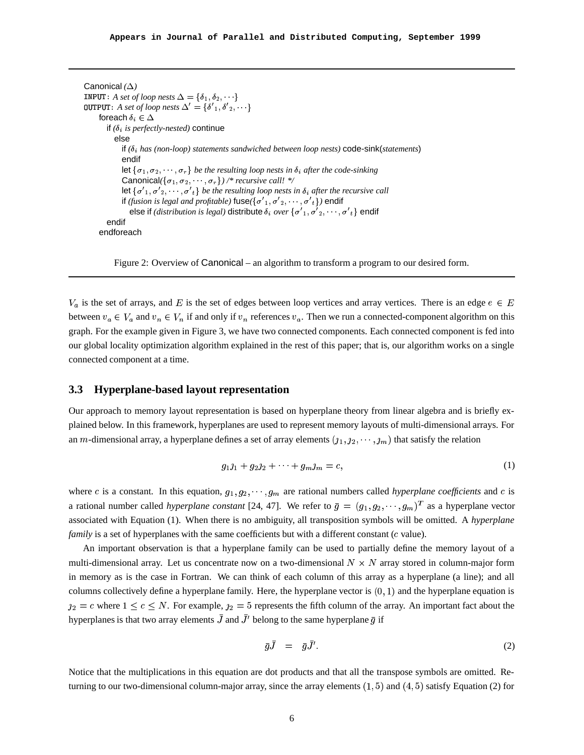```
Canonical ()
INPUT: A set of loop nests \Delta = \{\delta_1, \delta_2, \cdots\}\texttt{OUTPUT}: A \textit{ set of loop } \textit{nests } \Delta' = \{\delta'_{1},\delta'_{2},\quad \}the contract of the contract of the contract of the contract of the contract of the contract of the contract of
      foreach \delta_i \in \Deltaif (\delta_i is perfectly-nested) continue
             else
                if ( has (non-loop) statements sandwiched between loop nests) code-sink(statements)
                endif
                 let \{\sigma_1, \sigma_2, \cdots, \sigma_r\} be the resulting loop nests in \delta_i after the code-sinking
                 Canonical(\{\sigma_1, \sigma_2, \cdots, \sigma_r\}) /* recursive call! */
                 let \{\sigma'_{1}, \sigma'_{2}, \cdots, \sigma'_{t}\} be the resulting loop nests in \delta_{i} after the recursive call
                 if (fusion is legal and profitable) fuse({{\{\sigma'}_1, \sigma'}_2, \cdots, {\sigma'}_t}) endif
                    else if (distribution is legal) distribute \delta_i over \{\sigma'_1, \sigma'_2, \cdots, \sigma'_t\} endif
          endif
       endforeach
```
Figure 2: Overview of Canonical – an algorithm to transform a program to our desired form.

 $V_a$  is the set of arrays, and E is the set of edges between loop vertices and array vertices. There is an edge  $e \in E$ between  $v_a \in V_a$  and  $v_n \in V_n$  if and only if  $v_n$  references  $v_a$ . Then we run a connected-component algorithm on this graph. For the example given in Figure 3, we have two connected components. Each connected component is fed into our global locality optimization algorithm explained in the rest of this paper; that is, our algorithm works on a single connected component at a time.

### **3.3 Hyperplane-based layout representation**

Our approach to memory layout representation is based on hyperplane theory from linear algebra and is briefly explained below. In this framework, hyperplanes are used to represent memory layouts of multi-dimensional arrays. For an m-dimensional array, a hyperplane defines a set of array elements  $(j_1, j_2, \dots, j_m)$  that satisfy the relation

$$
g_1 j_1 + g_2 j_2 + \dots + g_m j_m = c,\tag{1}
$$

where c is a constant. In this equation,  $g_1, g_2, \dots, g_m$  are rational numbers called *hyperplane* coefficients and c is a rational number called *hyperplane constant* [24, 47]. We refer to  $\bar{g} = (g_1, g_2, \dots, g_m)^T$  as a hyperplane vector associated with Equation (1). When there is no ambiguity, all transposition symbols will be omitted. A *hyperplane family* is a set of hyperplanes with the same coefficients but with a different constant (c value).

An important observation is that a hyperplane family can be used to partially define the memory layout of a multi-dimensional array. Let us concentrate now on a two-dimensional  $N \times N$  array stored in column-major form in memory as is the case in Fortran. We can think of each column of this array as a hyperplane (a line); and all columns collectively define a hyperplane family. Here, the hyperplane vector is  $(0, 1)$  and the hyperplane equation is  $362 = c$  where  $1 \leq c \leq N$ . For example,  $32 = 5$  represents the fifth column of the array. An important fact about the hyperplanes is that two array elements  $J$  and  $J'$  belong to the same hyperplane  $\bar{g}$  if

$$
\bar{g}\bar{J} = \bar{g}\bar{J}'.\tag{2}
$$

Notice that the multiplications in this equation are dot products and that all the transpose symbols are omitted. Returning to our two-dimensional column-major array, since the array elements  $(1,5)$  and  $(4,5)$  satisfy Equation (2) for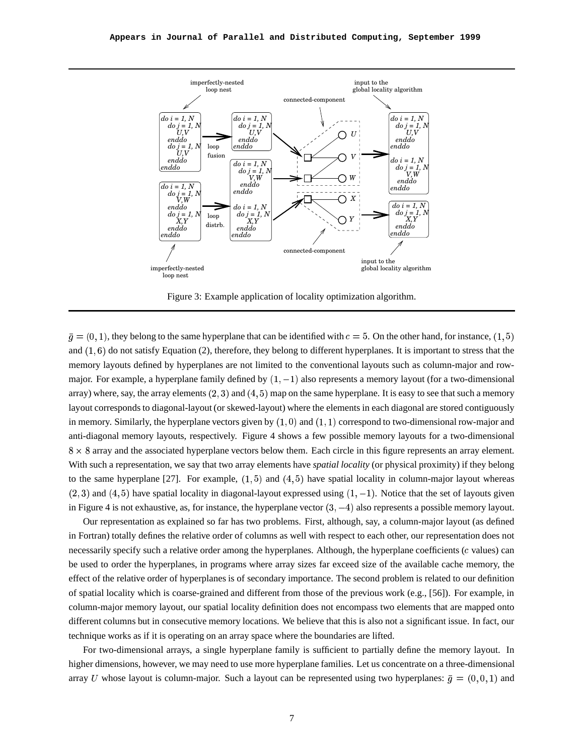

Figure 3: Example application of locality optimization algorithm.

 $\bar{g} = (0, 1)$ , they belong to the same hyperplane that can be identified with  $c = 5$ . On the other hand, for instance,  $(1, 5)$ and  $(1, 6)$  do not satisfy Equation (2), therefore, they belong to different hyperplanes. It is important to stress that the memory layouts defined by hyperplanes are not limited to the conventional layouts such as column-major and rowmajor. For example, a hyperplane family defined by  $(1, -1)$  also represents a memory layout (for a two-dimensional array) where, say, the array elements  $(2,3)$  and  $(4,5)$  map on the same hyperplane. It is easy to see that such a memory layout corresponds to diagonal-layout (or skewed-layout) where the elements in each diagonal are stored contiguously in memory. Similarly, the hyperplane vectors given by  $(1,0)$  and  $(1,1)$  correspond to two-dimensional row-major and anti-diagonal memory layouts, respectively. Figure 4 shows a few possible memory layouts for a two-dimensional  $8 \times 8$  array and the associated hyperplane vectors below them. Each circle in this figure represents an array element. With such a representation, we say that two array elements have *spatial locality* (or physical proximity) if they belong to the same hyperplane [27]. For example,  $(1,5)$  and  $(4,5)$  have spatial locality in column-major layout whereas  $(2,3)$  and  $(4,5)$  have spatial locality in diagonal-layout expressed using  $(1,-1)$ . Notice that the set of layouts given in Figure 4 is not exhaustive, as, for instance, the hyperplane vector  $(3, -4)$  also represents a possible memory layout.

Our representation as explained so far has two problems. First, although, say, a column-major layout (as defined in Fortran) totally defines the relative order of columns as well with respect to each other, our representation does not necessarily specify such a relative order among the hyperplanes. Although, the hyperplane coefficients  $(c$  values) can be used to order the hyperplanes, in programs where array sizes far exceed size of the available cache memory, the effect of the relative order of hyperplanes is of secondary importance. The second problem is related to our definition of spatial locality which is coarse-grained and different from those of the previous work (e.g., [56]). For example, in column-major memory layout, our spatial locality definition does not encompass two elements that are mapped onto different columns but in consecutive memory locations. We believe that this is also not a significant issue. In fact, our technique works as if it is operating on an array space where the boundaries are lifted.

For two-dimensional arrays, a single hyperplane family is sufficient to partially define the memory layout. In higher dimensions, however, we may need to use more hyperplane families. Let us concentrate on a three-dimensional array U whose layout is column-major. Such a layout can be represented using two hyperplanes:  $\bar{g} = (0,0,1)$  and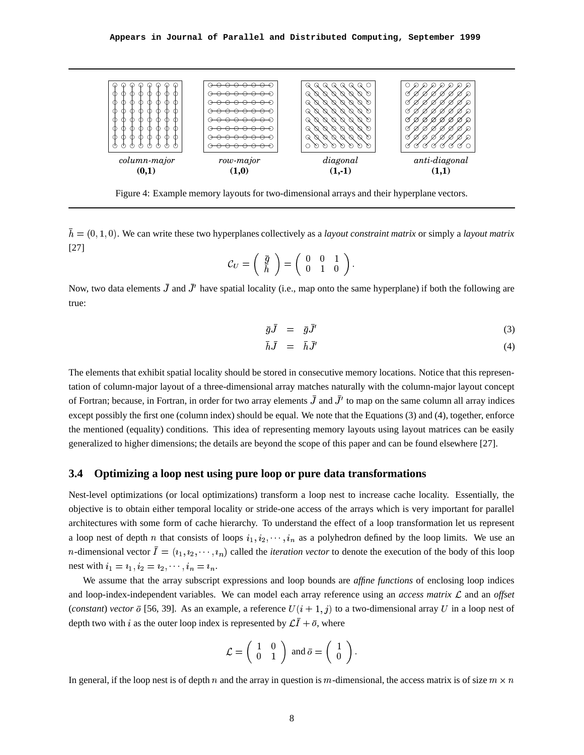

Figure 4: Example memory layouts for two-dimensional arrays and their hyperplane vectors.

 $h = (0, 1, 0)$ . We can write these two hyperplanes collectively as a *layout constraint matrix* or simply a *layout matrix* [27]

$$
{\cal C}_U=\left(\begin{array}{c} \bar g\\ h \end{array}\right)=\left(\begin{array}{ccc} 0&0&1\\ 0&1&0 \end{array}\right).
$$

Now, two data elements  $J$  and  $J'$  have spatial locality (i.e., map onto the same hyperplane) if both the following are true:

$$
\bar{g}\bar{J} = \bar{g}\bar{J}' \tag{3}
$$

$$
\bar{h}\bar{J} = \bar{h}\bar{J}' \tag{4}
$$

The elements that exhibit spatial locality should be stored in consecutive memory locations. Notice that this representation of column-major layout of a three-dimensional array matches naturally with the column-major layout concept of Fortran; because, in Fortran, in order for two array elements  $J$  and  $J'$  to map on the same column all array indices except possibly the first one (column index) should be equal. We note that the Equations (3) and (4), together, enforce the mentioned (equality) conditions. This idea of representing memory layouts using layout matrices can be easily generalized to higher dimensions; the details are beyond the scope of this paper and can be found elsewhere [27].

### **3.4 Optimizing a loop nest using pure loop or pure data transformations**

Nest-level optimizations (or local optimizations) transform a loop nest to increase cache locality. Essentially, the objective is to obtain either temporal locality or stride-one access of the arrays which is very important for parallel architectures with some form of cache hierarchy. To understand the effect of a loop transformation let us represent a loop nest of depth *n* that consists of loops  $i_1, i_2, \dots, i_n$  as a polyhedron defined by the loop limits. We use an *n*-dimensional vector  $I = (i_1, i_2, \dots, i_n)$  called the *iteration vector* to denote the execution of the body of this loop nest with  $i_1 = i_1, i_2 = i_2, \dots, i_n = i_n$ .

We assume that the array subscript expressions and loop bounds are *affine functions* of enclosing loop indices and loop-index-independent variables. We can model each array reference using an *access matrix*  $\mathcal L$  and an *offset* (*constant*) *vector*  $\bar{\sigma}$  [56, 39]. As an example, a reference  $U(i + 1, j)$  to a two-dimensional array U in a loop nest of depth two with *i* as the outer loop index is represented by  $\mathcal{L}I + \overline{o}$ , where

$$
\mathcal{L} = \left( \begin{array}{cc} 1 & 0 \\ 0 & 1 \end{array} \right) \text{ and } \bar{o} = \left( \begin{array}{c} 1 \\ 0 \end{array} \right).
$$

In general, if the loop nest is of depth n and the array in question is m-dimensional, the access matrix is of size  $m \times n$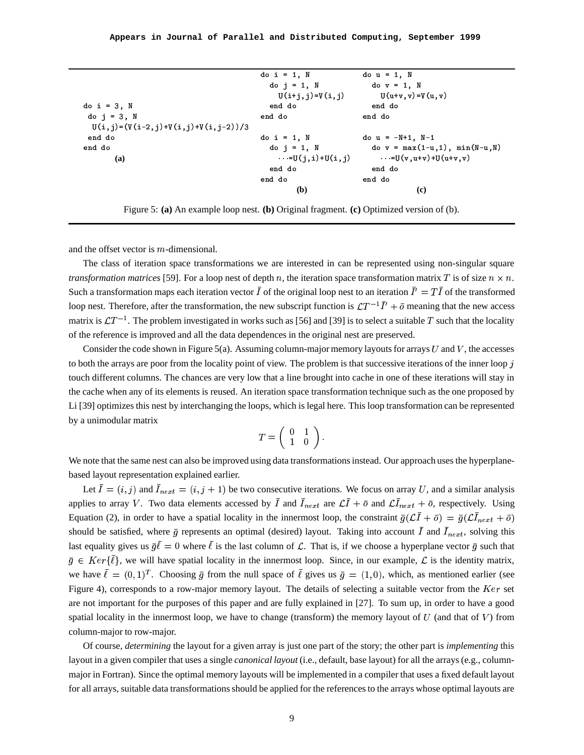### **Appears in Journal of Parallel and Distributed Computing, September 1999**

| do i = 3, N                                                         | do $i = 1, N$<br>do $j = 1, N$<br>$U(i+j, j)=V(i, j)$<br>end do | do $u = 1$ , N<br>do $v = 1$ , N<br>$U(u+v,v)=V(u,v)$<br>end do       |
|---------------------------------------------------------------------|-----------------------------------------------------------------|-----------------------------------------------------------------------|
| do $i = 3$ , $N$<br>$U(i, j) = (V(i-2, j) + V(i, j) + V(i, j-2))/3$ | end do                                                          | end do                                                                |
| end do                                                              | do i = 1. N                                                     | do u = -N+1, N-1                                                      |
| end do<br>(a)                                                       | do $j = 1, N$<br>$= U(j,i) + U(i,j)$                            | do $v = max(1-u, 1)$ , $min(N-u, N)$<br>$-$ = U (v, u+v) + U (u+v, v) |
|                                                                     | end do                                                          | end do                                                                |
|                                                                     | end do                                                          | end do                                                                |
|                                                                     | (b)                                                             | $\left( \mathbf{c} \right)$                                           |

Figure 5: **(a)** An example loop nest. **(b)** Original fragment. **(c)** Optimized version of (b).

and the offset vector is  $m$ -dimensional.

The class of iteration space transformations we are interested in can be represented using non-singular square *transformation matrices* [59]. For a loop nest of depth n, the iteration space transformation matrix T is of size  $n \times n$ . Such a transformation maps each iteration vector I of the original loop nest to an iteration  $I' = TI$  of the transformed loop nest. Therefore, after the transformation, the new subscript function is  $LT^{-1}I' + \bar{o}$  meaning that the new access matrix is  $\mathcal{L}T^{-1}$ . The problem investigated in works such as [56] and [39] is to select a suitable T such that the locality of the reference is improved and all the data dependences in the original nest are preserved.

Consider the code shown in Figure 5(a). Assuming column-major memory layouts for arrays  $U$  and  $V$ , the accesses to both the arrays are poor from the locality point of view. The problem is that successive iterations of the inner loop  $j$ touch different columns. The chances are very low that a line brought into cache in one of these iterations will stay in the cache when any of its elements is reused. An iteration space transformation technique such as the one proposed by Li [39] optimizes this nest by interchanging the loops, which is legal here. This loop transformation can be represented by a unimodular matrix

$$
T = \left( \begin{array}{cc} 0 & 1 \\ 1 & 0 \end{array} \right).
$$

We note that the same nest can also be improved using data transformations instead. Our approach uses the hyperplanebased layout representation explained earlier.

Let  $I = (i, j)$  and  $I_{next} = (i, j + 1)$  be two consecutive iterations. We focus on array U, and a similar analysis applies to array V. Two data elements accessed by I and  $I_{next}$  are  $\mathcal{L}I + \bar{o}$  and  $\mathcal{L}I_{next} + \bar{o}$ , respectively. Using Equation (2), in order to have a spatial locality in the innermost loop, the constraint  $\bar{g}(\mathcal{L}I + \bar{o}) = \bar{g}(\mathcal{L}I_{next} + \bar{o})$ should be satisfied, where  $\bar{g}$  represents an optimal (desired) layout. Taking into account I and  $I_{next}$ , solving this last equality gives us  $\bar{g}\ell = 0$  where  $\ell$  is the last column of  $\mathcal{L}$ . That is, if we choose a hyperplane vector  $\bar{g}$  such that  $\bar{g} \in Ker\{\ell\}$ , we will have spatial locality in the innermost loop. Since, in our example,  $\mathcal L$  is the identity matrix, we have  $\ell = (0,1)^T$ . Choosing  $\bar{g}$  from the null space of  $\ell$  gives us  $\bar{g} = (1,0)$ , which, as mentioned earlier (see Figure 4), corresponds to a row-major memory layout. The details of selecting a suitable vector from the  $Ker$  set are not important for the purposes of this paper and are fully explained in [27]. To sum up, in order to have a good spatial locality in the innermost loop, we have to change (transform) the memory layout of  $U$  (and that of  $V$ ) from column-major to row-major.

Of course, *determining* the layout for a given array is just one part of the story; the other part is *implementing* this layout in a given compiler that uses a single *canonical layout* (i.e., default, base layout) for all the arrays (e.g., columnmajor in Fortran). Since the optimal memory layouts will be implemented in a compiler that uses a fixed default layout for all arrays, suitable data transformationsshould be applied for the references to the arrays whose optimal layouts are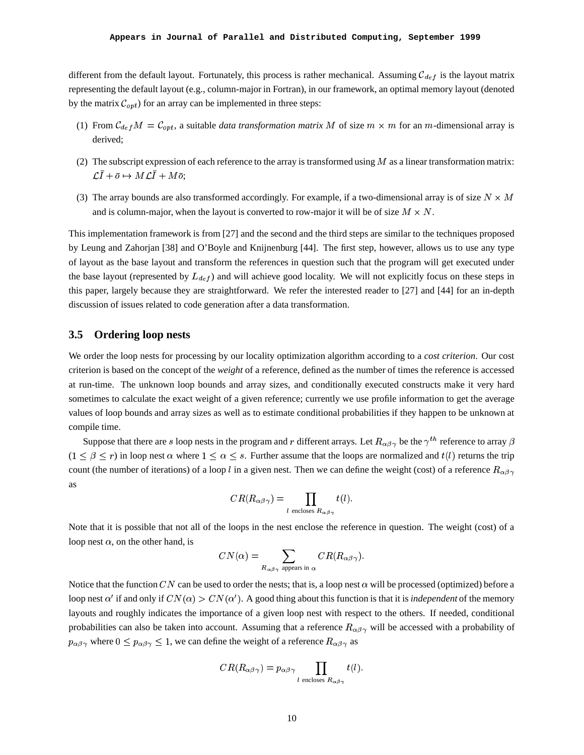different from the default layout. Fortunately, this process is rather mechanical. Assuming  $\mathcal{C}_{def}$  is the layout matrix representing the default layout (e.g., column-major in Fortran), in our framework, an optimal memory layout (denoted by the matrix  $\mathcal{C}_{opt}$ ) for an array can be implemented in three steps:

- (1) From  $C_{def}M = C_{opt}$ , a suitable *data transformation matrix* M of size  $m \times m$  for an m-dimensional array is derived;
- (2) The subscript expression of each reference to the array is transformed using  $M$  as a linear transformation matrix:  $\mathcal{L}I + \bar{o} \mapsto M\mathcal{L}I + M\bar{o};$  $\overline{\omega}$  . The contract of  $\overline{\omega}$  is the contract of  $\overline{\omega}$
- (3) The array bounds are also transformed accordingly. For example, if a two-dimensional array is of size  $N \times M$ and is column-major, when the layout is converted to row-major it will be of size  $M \times N$ .

This implementation framework is from [27] and the second and the third steps are similar to the techniques proposed by Leung and Zahorjan [38] and O'Boyle and Knijnenburg [44]. The first step, however, allows us to use any type of layout as the base layout and transform the references in question such that the program will get executed under the base layout (represented by  $L_{def}$ ) and will achieve good locality. We will not explicitly focus on these steps in this paper, largely because they are straightforward. We refer the interested reader to [27] and [44] for an in-depth discussion of issues related to code generation after a data transformation.

### **3.5 Ordering loop nests**

We order the loop nests for processing by our locality optimization algorithm according to a *cost criterion*. Our cost criterion is based on the concept of the *weight* of a reference, defined as the number of times the reference is accessed at run-time. The unknown loop bounds and array sizes, and conditionally executed constructs make it very hard sometimes to calculate the exact weight of a given reference; currently we use profile information to get the average values of loop bounds and array sizes as well as to estimate conditional probabilities if they happen to be unknown at compile time.

Suppose that there are s loop nests in the program and r different arrays. Let  $R_{\alpha\beta\gamma}$  be the  $\gamma^{th}$  reference to array  $\beta$  $(1 \leq \beta \leq r)$  in loop nest  $\alpha$  where  $1 \leq \alpha \leq s$ . Further assume that the loops are normalized and  $t(l)$  returns the trip count (the number of iterations) of a loop l in a given nest. Then we can define the weight (cost) of a reference  $R_{\alpha\beta\gamma}$ as

$$
CR(R_{\alpha\beta\gamma}) = \prod_{l \text{ encloses } R_{\alpha\beta\gamma}} t(l).
$$

Note that it is possible that not all of the loops in the nest enclose the reference in question. The weight (cost) of a loop nest  $\alpha$ , on the other hand, is

$$
CN(\alpha) = \sum_{R_{\alpha\beta\gamma} \text{ appears in }\alpha} CR(R_{\alpha\beta\gamma}).
$$

Notice that the function  $CN$  can be used to order the nests; that is, a loop nest  $\alpha$  will be processed (optimized) before a loop nest  $\alpha'$  if and only if and only if  $CN(\alpha) > CN(\alpha')$ . A good the <sup>'</sup>). A good thing about this function is that it is *independent* of the memory layouts and roughly indicates the importance of a given loop nest with respect to the others. If needed, conditional probabilities can also be taken into account. Assuming that a reference  $R_{\alpha\beta\gamma}$  will be accessed with a probability of  $p_{\alpha\beta\gamma}$  where  $0 \le p_{\alpha\beta\gamma} \le 1$ , we can define the weight of a reference  $R_{\alpha\beta\gamma}$  as

$$
CR(R_{\alpha\beta\gamma}) = p_{\alpha\beta\gamma} \prod_{l \text{ encloses } R_{\alpha\beta\gamma}} t(l).
$$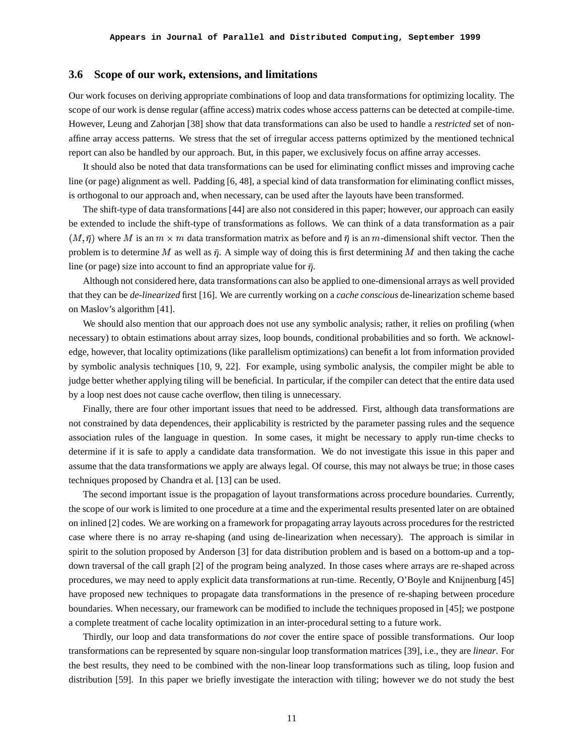### **3.6 Scope of our work, extensions, and limitations**

Our work focuses on deriving appropriate combinations of loop and data transformations for optimizing locality. The scope of our work is dense regular (affine access) matrix codes whose access patterns can be detected at compile-time. However, Leung and Zahorjan [38] show that data transformations can also be used to handle a *restricted* set of nonaffine array access patterns. We stress that the set of irregular access patterns optimized by the mentioned technical report can also be handled by our approach. But, in this paper, we exclusively focus on affine array accesses.

It should also be noted that data transformations can be used for eliminating conflict misses and improving cache line (or page) alignment as well. Padding [6, 48], a special kind of data transformation for eliminating conflict misses, is orthogonal to our approach and, when necessary, can be used after the layouts have been transformed.

The shift-type of data transformations [44] are also not considered in this paper; however, our approach can easily be extended to include the shift-type of transformations as follows. We can think of a data transformation as a pair  $(M, \bar{\eta})$  where M is an  $m \times m$  data transformation matrix as before and  $\bar{\eta}$  is an m-dimensional shift vector. Then the problem is to determine M as well as  $\bar{\eta}$ . A simple way of doing this is first determining M and then taking the cache line (or page) size into account to find an appropriate value for  $\bar{\eta}$ .

Although not considered here, data transformations can also be applied to one-dimensional arrays as well provided that they can be *de-linearized* first [16]. We are currently working on a *cache conscious* de-linearization scheme based on Maslov's algorithm [41].

We should also mention that our approach does not use any symbolic analysis; rather, it relies on profiling (when necessary) to obtain estimations about array sizes, loop bounds, conditional probabilities and so forth. We acknowledge, however, that locality optimizations (like parallelism optimizations) can benefit a lot from information provided by symbolic analysis techniques [10, 9, 22]. For example, using symbolic analysis, the compiler might be able to judge better whether applying tiling will be beneficial. In particular, if the compiler can detect that the entire data used by a loop nest does not cause cache overflow, then tiling is unnecessary.

Finally, there are four other important issues that need to be addressed. First, although data transformations are not constrained by data dependences, their applicability is restricted by the parameter passing rules and the sequence association rules of the language in question. In some cases, it might be necessary to apply run-time checks to determine if it is safe to apply a candidate data transformation. We do not investigate this issue in this paper and assume that the data transformations we apply are always legal. Of course, this may not always be true; in those cases techniques proposed by Chandra et al. [13] can be used.

The second important issue is the propagation of layout transformations across procedure boundaries. Currently, the scope of our work is limited to one procedure at a time and the experimental results presented later on are obtained on inlined [2] codes. We are working on a framework for propagating array layouts across proceduresfor the restricted case where there is no array re-shaping (and using de-linearization when necessary). The approach is similar in spirit to the solution proposed by Anderson [3] for data distribution problem and is based on a bottom-up and a topdown traversal of the call graph [2] of the program being analyzed. In those cases where arrays are re-shaped across procedures, we may need to apply explicit data transformations at run-time. Recently, O'Boyle and Knijnenburg [45] have proposed new techniques to propagate data transformations in the presence of re-shaping between procedure boundaries. When necessary, our framework can be modified to include the techniques proposed in [45]; we postpone a complete treatment of cache locality optimization in an inter-procedural setting to a future work.

Thirdly, our loop and data transformations do *not* cover the entire space of possible transformations. Our loop transformations can be represented by square non-singular loop transformation matrices [39], i.e., they are *linear*. For the best results, they need to be combined with the non-linear loop transformations such as tiling, loop fusion and distribution [59]. In this paper we briefly investigate the interaction with tiling; however we do not study the best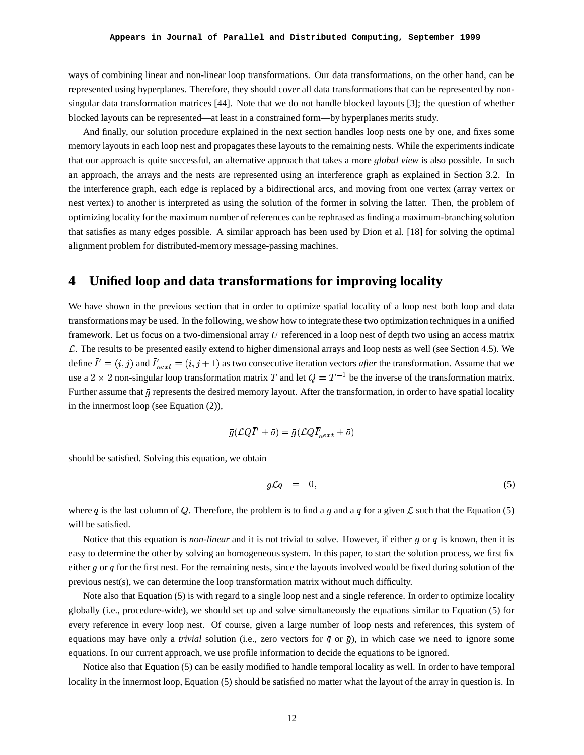ways of combining linear and non-linear loop transformations. Our data transformations, on the other hand, can be represented using hyperplanes. Therefore, they should cover all data transformations that can be represented by nonsingular data transformation matrices [44]. Note that we do not handle blocked layouts [3]; the question of whether blocked layouts can be represented—at least in a constrained form—by hyperplanes merits study.

And finally, our solution procedure explained in the next section handles loop nests one by one, and fixes some memory layouts in each loop nest and propagates these layouts to the remaining nests. While the experiments indicate that our approach is quite successful, an alternative approach that takes a more *global view* is also possible. In such an approach, the arrays and the nests are represented using an interference graph as explained in Section 3.2. In the interference graph, each edge is replaced by a bidirectional arcs, and moving from one vertex (array vertex or nest vertex) to another is interpreted as using the solution of the former in solving the latter. Then, the problem of optimizing locality for the maximum number of references can be rephrased as finding a maximum-branching solution that satisfies as many edges possible. A similar approach has been used by Dion et al. [18] for solving the optimal alignment problem for distributed-memory message-passing machines.

## **4 Unified loop and data transformations for improving locality**

We have shown in the previous section that in order to optimize spatial locality of a loop nest both loop and data transformations may be used. In the following, we show how to integrate these two optimization techniquesin a unified framework. Let us focus on a two-dimensional array  $U$  referenced in a loop nest of depth two using an access matrix  $\mathcal{L}$ . The results to be presented easily extend to higher dimensional arrays and loop nests as well (see Section 4.5). We define  $I' = (i, j)$  and  $I'_{next} = (i, j + 1)$  as two consecutive iteration vectors *after* the transformation. Assume that we use a 2  $\times$  2 non-singular loop transformation matrix T and let  $Q = T^{-1}$  be the inverse of the transformation matrix. Further assume that  $\bar{g}$  represents the desired memory layout. After the transformation, in order to have spatial locality in the innermost loop (see Equation (2)),

$$
\bar{g}(\mathcal{L}Q\bar{I'}+\bar{o})=\bar{g}(\mathcal{L}Q\bar{I}_{next}'+\bar{o})
$$

should be satisfied. Solving this equation, we obtain

$$
\bar{g}\mathcal{L}\bar{q} = 0, \tag{5}
$$

where  $\bar{q}$  is the last column of Q. Therefore, the problem is to find a  $\bar{q}$  and a  $\bar{q}$  for a given  $\cal{L}$  such that the Equation (5) will be satisfied.

Notice that this equation is *non-linear* and it is not trivial to solve. However, if either  $\bar{g}$  or  $\bar{q}$  is known, then it is easy to determine the other by solving an homogeneous system. In this paper, to start the solution process, we first fix either  $\bar{g}$  or  $\bar{q}$  for the first nest. For the remaining nests, since the layouts involved would be fixed during solution of the previous nest(s), we can determine the loop transformation matrix without much difficulty.

Note also that Equation (5) is with regard to a single loop nest and a single reference. In order to optimize locality globally (i.e., procedure-wide), we should set up and solve simultaneously the equations similar to Equation (5) for every reference in every loop nest. Of course, given a large number of loop nests and references, this system of equations may have only a *trivial* solution (i.e., zero vectors for  $\bar{q}$  or  $\bar{g}$ ), in which case we need to ignore some equations. In our current approach, we use profile information to decide the equations to be ignored.

Notice also that Equation (5) can be easily modified to handle temporal locality as well. In order to have temporal locality in the innermost loop, Equation (5) should be satisfied no matter what the layout of the array in question is. In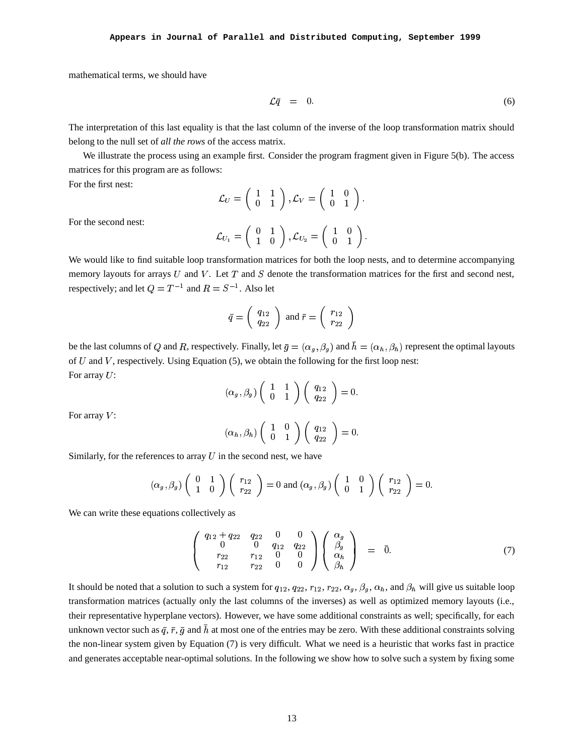mathematical terms, we should have

$$
\mathcal{L}\bar{q} = 0. \tag{6}
$$

The interpretation of this last equality is that the last column of the inverse of the loop transformation matrix should belong to the null set of *all the rows* of the access matrix.

We illustrate the process using an example first. Consider the program fragment given in Figure 5(b). The access matrices for this program are as follows:

For the first nest:

$$
\mathcal{L}_U=\left(\begin{array}{cc} 1 & 1 \\ 0 & 1 \end{array}\right), \mathcal{L}_V=\left(\begin{array}{cc} 1 & 0 \\ 0 & 1 \end{array}\right).
$$

For the second nest:

$$
\mathcal{L}_{U_1}=\left(\begin{array}{cc}0&1\\1&0\end{array}\right), \mathcal{L}_{U_2}=\left(\begin{array}{cc}1&0\\0&1\end{array}\right).
$$

We would like to find suitable loop transformation matrices for both the loop nests, and to determine accompanying memory layouts for arrays U and V. Let T and S denote the transformation matrices for the first and second nest, respectively; and let  $Q = T^{-1}$  and  $R = S^{-1}$ . Also let

$$
\bar{q}=\left(\begin{array}{c}q_{12}\\q_{22}\end{array}\right)\text{ and }\bar{r}=\left(\begin{array}{c}r_{12}\\r_{22}\end{array}\right)
$$

be the last columns of Q and R, respectively. Finally, let  $\bar{g} = (\alpha_g, \beta_g)$  and  $\bar{h} = (\alpha_h, \beta_h)$  represent the optimal layouts of  $U$  and  $V$ , respectively. Using Equation (5), we obtain the following for the first loop nest: For array  $U$ :

$$
(\alpha_g, \beta_g) \left( \begin{array}{cc} 1 & 1 \\ 0 & 1 \end{array} \right) \left( \begin{array}{c} q_{12} \\ q_{22} \end{array} \right) = 0.
$$

For array  $V$ :

$$
(\alpha_h, \beta_h) \left( \begin{array}{cc} 1 & 0 \\ 0 & 1 \end{array} \right) \left( \begin{array}{c} q_{12} \\ q_{22} \end{array} \right) = 0.
$$

Similarly, for the references to array  $U$  in the second nest, we have

$$
(\alpha_g, \beta_g) \left( \begin{array}{cc} 0 & 1 \\ 1 & 0 \end{array} \right) \left( \begin{array}{c} r_{12} \\ r_{22} \end{array} \right) = 0 \text{ and } (\alpha_g, \beta_g) \left( \begin{array}{cc} 1 & 0 \\ 0 & 1 \end{array} \right) \left( \begin{array}{c} r_{12} \\ r_{22} \end{array} \right) = 0.
$$

We can write these equations collectively as

$$
\begin{pmatrix}\nq_{12} + q_{22} & q_{22} & 0 & 0 \\
0 & 0 & q_{12} & q_{22} \\
r_{22} & r_{12} & 0 & 0 \\
r_{12} & r_{22} & 0 & 0\n\end{pmatrix}\n\begin{pmatrix}\n\alpha_g \\
\beta_g \\
\alpha_h \\
\beta_h\n\end{pmatrix} = \bar{0}.
$$
\n(7)

It should be noted that a solution to such a system for  $q_{12}$ ,  $q_{22}$ ,  $r_{12}$ ,  $r_{22}$ ,  $\alpha_g$ ,  $\beta_g$ ,  $\alpha_h$ , and  $\beta_h$  will give us suitable loop transformation matrices (actually only the last columns of the inverses) as well as optimized memory layouts (i.e., their representative hyperplane vectors). However, we have some additional constraints as well; specifically, for each unknown vector such as  $\bar{q}$ ,  $\bar{r}$ ,  $\bar{g}$  and h at most one of the entries may be zero. With these additional constraints solving the non-linear system given by Equation (7) is very difficult. What we need is a heuristic that works fast in practice and generates acceptable near-optimal solutions. In the following we show how to solve such a system by fixing some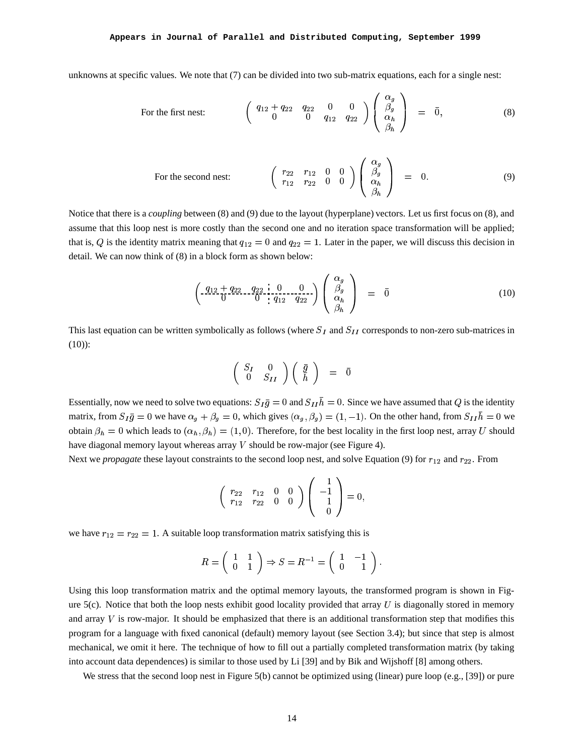unknowns at specific values. We note that (7) can be divided into two sub-matrix equations, each for a single nest:

For the first nest: 
$$
\begin{pmatrix} q_{12} + q_{22} & q_{22} & 0 & 0 \ 0 & 0 & q_{12} & q_{22} \end{pmatrix} \begin{pmatrix} \alpha_g \\ \beta_g \\ \alpha_h \\ \beta_h \end{pmatrix} = \bar{0},
$$
 (8)

For the second nest: 
$$
\begin{pmatrix} r_{22} & r_{12} & 0 & 0 \ r_{12} & r_{22} & 0 & 0 \end{pmatrix} \begin{pmatrix} \alpha_g \\ \beta_g \\ \alpha_h \\ \beta_h \end{pmatrix} = 0.
$$
 (9)

Notice that there is a *coupling* between (8) and (9) due to the layout (hyperplane) vectors. Let us first focus on (8), and assume that this loop nest is more costly than the second one and no iteration space transformation will be applied; that is, Q is the identity matrix meaning that  $q_{12} = 0$  and  $q_{22} = 1$ . Later in the paper, we will discuss this decision in detail. We can now think of (8) in a block form as shown below:

$$
\left(\begin{array}{cc} q_{12} + q_{22} & q_{22} & 0 & 0 \\ \hline 0 & 0 & q_{12} & q_{22} \end{array}\right) \left(\begin{array}{c} \alpha_g \\ \beta_g \\ \alpha_h \\ \beta_h \end{array}\right) = \bar{0} \tag{10}
$$

This last equation can be written symbolically as follows (where  $S_I$  and  $S_{II}$  corresponds to non-zero sub-matrices in (10)):

$$
\left(\begin{array}{cc} S_I & 0 \\ 0 & S_{II} \end{array}\right)\left(\begin{array}{cc} \bar g \\ h \end{array}\right) \;\;=\;\; \bar 0
$$

Essentially, now we need to solve two equations:  $S_I \bar{g} = 0$  and  $S_{II} h = 0$ . Since we have assumed that Q is the identity matrix, from  $S_I \bar{g} = 0$  we have  $\alpha_q + \beta_q = 0$ , which gives  $(\alpha_q, \beta_q) = (1, -1)$ . On the other hand, from  $S_{II}h = 0$  we obtain  $\beta_h = 0$  which leads to  $(\alpha_h, \beta_h) = (1, 0)$ . Therefore, for the best locality in the first loop nest, array U should have diagonal memory layout whereas array  $V$  should be row-major (see Figure 4).

Next we *propagate* these layout constraints to the second loop nest, and solve Equation (9) for  $r_{12}$  and  $r_{22}$ . From

$$
\left(\begin{array}{ccc} r_{22} & r_{12} & 0 & 0 \\ r_{12} & r_{22} & 0 & 0 \end{array}\right) \left(\begin{array}{c} 1 \\ -1 \\ 1 \\ 0 \end{array}\right) = 0,
$$

we have  $r_{12} = r_{22} = 1$ . A suitable loop transformation matrix satisfying this is

$$
R = \left(\begin{array}{cc} 1 & 1 \\ 0 & 1 \end{array}\right) \Rightarrow S = R^{-1} = \left(\begin{array}{cc} 1 & -1 \\ 0 & 1 \end{array}\right).
$$

Using this loop transformation matrix and the optimal memory layouts, the transformed program is shown in Figure 5(c). Notice that both the loop nests exhibit good locality provided that array  $U$  is diagonally stored in memory and array  $V$  is row-major. It should be emphasized that there is an additional transformation step that modifies this program for a language with fixed canonical (default) memory layout (see Section 3.4); but since that step is almost mechanical, we omit it here. The technique of how to fill out a partially completed transformation matrix (by taking into account data dependences) is similar to those used by Li [39] and by Bik and Wijshoff [8] among others.

We stress that the second loop nest in Figure 5(b) cannot be optimized using (linear) pure loop (e.g., [39]) or pure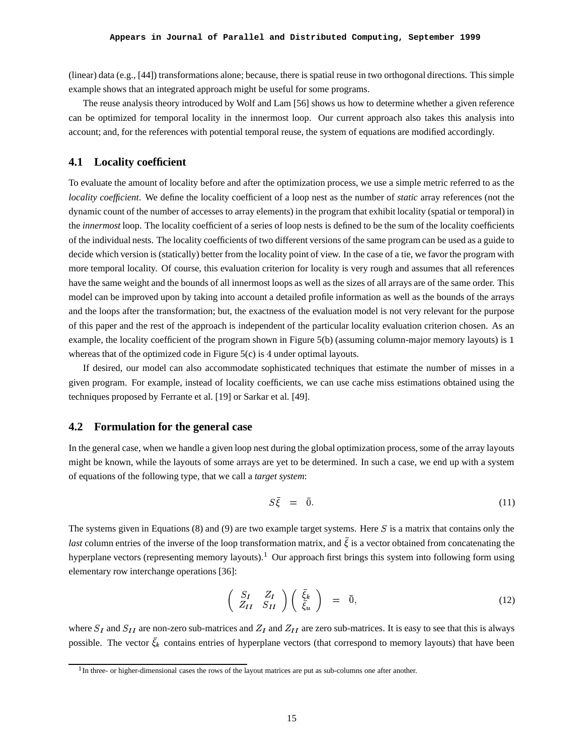(linear) data (e.g., [44]) transformations alone; because, there is spatial reuse in two orthogonal directions. This simple example shows that an integrated approach might be useful for some programs.

The reuse analysis theory introduced by Wolf and Lam [56] shows us how to determine whether a given reference can be optimized for temporal locality in the innermost loop. Our current approach also takes this analysis into account; and, for the references with potential temporal reuse, the system of equations are modified accordingly.

## **4.1 Locality coefficient**

To evaluate the amount of locality before and after the optimization process, we use a simple metric referred to as the *locality coefficient*. We define the locality coefficient of a loop nest as the number of *static* array references (not the dynamic count of the number of accesses to array elements) in the program that exhibit locality (spatial or temporal) in the *innermost* loop. The locality coefficient of a series of loop nests is defined to be the sum of the locality coefficients of the individual nests. The locality coefficients of two different versions of the same program can be used as a guide to decide which version is (statically) better from the locality point of view. In the case of a tie, we favor the program with more temporal locality. Of course, this evaluation criterion for locality is very rough and assumes that all references have the same weight and the bounds of all innermost loops as well as the sizes of all arrays are of the same order. This model can be improved upon by taking into account a detailed profile information as well as the bounds of the arrays and the loops after the transformation; but, the exactness of the evaluation model is not very relevant for the purpose of this paper and the rest of the approach is independent of the particular locality evaluation criterion chosen. As an example, the locality coefficient of the program shown in Figure 5(b) (assuming column-major memory layouts) is 1 whereas that of the optimized code in Figure  $5(c)$  is 4 under optimal layouts.

If desired, our model can also accommodate sophisticated techniques that estimate the number of misses in a given program. For example, instead of locality coefficients, we can use cache miss estimations obtained using the techniques proposed by Ferrante et al. [19] or Sarkar et al. [49].

### **4.2 Formulation for the general case**

In the general case, when we handle a given loop nest during the global optimization process, some of the array layouts might be known, while the layouts of some arrays are yet to be determined. In such a case, we end up with a system of equations of the following type, that we call a *target system*:

$$
S\bar{\xi} = \bar{0}.\tag{11}
$$

The systems given in Equations (8) and (9) are two example target systems. Here  $S$  is a matrix that contains only the *last* column entries of the inverse of the loop transformation matrix, and  $\xi$  is a vector obtained from concatenating the hyperplane vectors (representing memory layouts).<sup>1</sup> Our approach first brings this system into following form using elementary row interchange operations [36]:

$$
\left(\begin{array}{cc} S_I & Z_I \\ Z_{II} & S_{II} \end{array}\right) \left(\begin{array}{c} \bar{\xi}_k \\ \bar{\xi}_u \end{array}\right) = \bar{0}, \tag{12}
$$

where  $S_I$  and  $S_{II}$  are non-zero sub-matrices and  $Z_I$  and  $Z_{II}$  are zero sub-matrices. It is easy to see that this is always possible. The vector  $\xi_k$  contains entries of hyperplane vectors (that correspond to memory layouts) that have been

<sup>&</sup>lt;sup>1</sup> In three- or higher-dimensional cases the rows of the layout matrices are put as sub-columns one after another.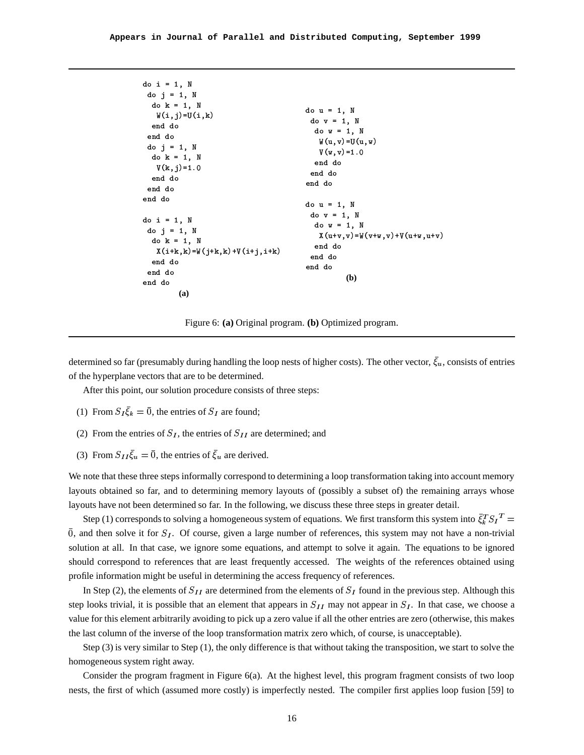```
do i = 1, N
 do j = 1, N
 -

  &$	 !$	-
 end do
 end do
 do j = 1, N
 -

  V(k, j) = 1.0end do
 end do
end do
do i = 1, N
 do j = 1, N-

    +		-
  &'*(+		
 + '!+-
	 +
 end do
 end do
end do
      (a)
                             -

                             -

                              do w = 1, N
                               &''	, !	'	

                               V(w, v) = 1.0end do
                             end do
                            end do
                             -

                             -

                              do w = 1, N
                               
+	, !&'-
+
	, + 
+
'		
+
, end do
                             end do
                            end do
                                   (b)
```
Figure 6: **(a)** Original program. **(b)** Optimized program.

determined so far (presumably during handling the loop nests of higher costs). The other vector,  $\bar{\xi}_u$ , consists of entries of the hyperplane vectors that are to be determined.

After this point, our solution procedure consists of three steps:

- (1) From  $S_I \xi_k = \overline{0}$ , the entries of  $S_I$  are found;
- (2) From the entries of  $S_I$ , the entries of  $S_{II}$  are determined; and
- (3) From  $S_{II} \xi_u = \overline{0}$ , the entries of  $\xi_u$  are derived.

We note that these three steps informally correspond to determining a loop transformation taking into account memory layouts obtained so far, and to determining memory layouts of (possibly a subset of) the remaining arrays whose layouts have not been determined so far. In the following, we discuss these three steps in greater detail.

Step (1) corresponds to solving a homogeneous system of equations. We first transform this system into  $\xi_k^T S_I^T =$ 0, and then solve it for  $S_I$ . Of course, given a large number of references, this system may not have a non-trivial solution at all. In that case, we ignore some equations, and attempt to solve it again. The equations to be ignored should correspond to references that are least frequently accessed. The weights of the references obtained using profile information might be useful in determining the access frequency of references.

In Step (2), the elements of  $S_{II}$  are determined from the elements of  $S_I$  found in the previous step. Although this step looks trivial, it is possible that an element that appears in  $S_{II}$  may not appear in  $S_I$ . In that case, we choose a value for this element arbitrarily avoiding to pick up a zero value if all the other entries are zero (otherwise, this makes the last column of the inverse of the loop transformation matrix zero which, of course, is unacceptable).

Step (3) is very similar to Step (1), the only difference is that without taking the transposition, we start to solve the homogeneous system right away.

Consider the program fragment in Figure 6(a). At the highest level, this program fragment consists of two loop nests, the first of which (assumed more costly) is imperfectly nested. The compiler first applies loop fusion [59] to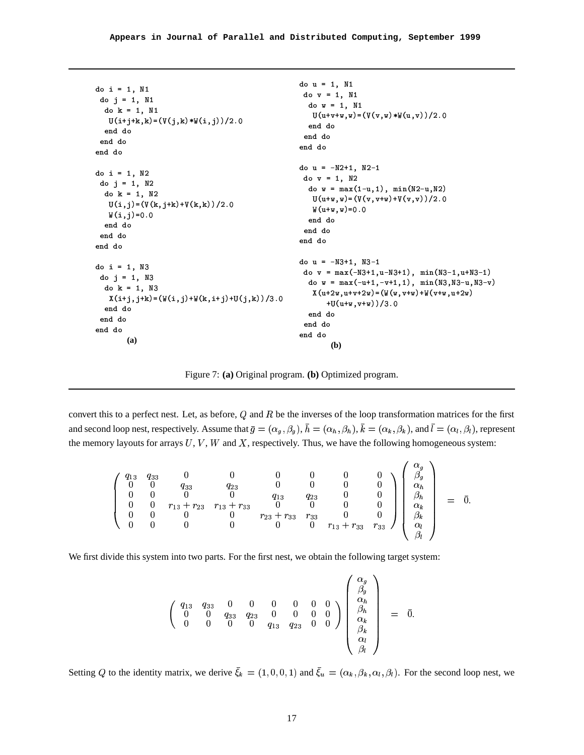```
do i = 1, N1
 do j = 1, N1

   ' +-
(+
	  '	-
  &'$	 -
 # 
  end do
 end do
end do
do i = 1, N2do i = 1, N2

	#
   '$	   ''	(+	 + '	-
 -
 # 
   W(i, j) = 0.0end do
 end do
end do
do i = 1, N3
 do j = 1, N3

     +-
	*(+	  &'$	* + &'-
	 +-

 +!	-
-
-

  end do
 end do
end do
        (a)
                                                  do u = 1, N1
                                                   do v = 1, N1

                                                      -
+
-
+
'	
   	
  &''	, -
 #  
                                                      "-
  "-
 end do

"%!#(+,
	# %)
                                                   do v = 1, N2
                                                     do w = max(1-u,1), min(N2-u,N2)-
+
'	
   ' 	-
+

 + '	, -
 #  
                                                      &'-
+
'	

                                                      "-
  "-
 end do

"%! +,
	-
%)

*%! +,
	%!(+,( 	
  -
%)		
+ -
%(

 %
+,
	%-
+,
	.( 	
   	  %'	  %,
                                                      -
+-
#	'	-
+
-
+-
#	,   &''	-
+
, + &'+'	
+-
#
, \cdot . \cdot . \cdot . \cdot . \cdot . \cdot . \cdot . \cdot . \cdot . \cdot . \cdot . \cdot . \cdot . \cdot . \cdot . \cdot . \cdot . \cdot . \cdot . \cdot . \cdot . \cdot . \cdot . \cdot . \cdot . \cdot . \cdot . \cdot . \cdot . \cdot . \cdot . \cdot "-
  "-
 end do
                                                          (b)
```
Figure 7: **(a)** Original program. **(b)** Optimized program.

convert this to a perfect nest. Let, as before,  $Q$  and  $R$  be the inverses of the loop transformation matrices for the first and second loop nest, respectively. Assume that  $\bar{g} = (\alpha_g, \beta_g)$ ,  $h = (\alpha_h, \beta_h)$ ,  $k = (\alpha_k, \beta_k)$ , and  $l = (\alpha_l, \beta_l)$ , represent the memory layouts for arrays  $U, V, W$  and  $X$ , respectively. Thus, we have the following homogeneous system:

 $\sim$   $\sim$ 

$$
\left(\begin{array}{ccccccccc}\nq_{13} & q_{33} & 0 & 0 & 0 & 0 & 0 & 0 \\
0 & 0 & q_{33} & q_{23} & 0 & 0 & 0 & 0 \\
0 & 0 & 0 & 0 & q_{13} & q_{23} & 0 & 0 \\
0 & 0 & r_{13} + r_{23} & r_{13} + r_{33} & 0 & 0 & 0 & 0 \\
0 & 0 & 0 & 0 & r_{23} + r_{33} & r_{33} & 0 & 0 \\
0 & 0 & 0 & 0 & 0 & r_{13} + r_{33} & r_{33}\n\end{array}\right)\n\left(\begin{array}{c}\n\alpha_g \\
\beta_g \\
\alpha_h \\
\beta_h \\
\alpha_k \\
\beta_t\n\end{array}\right) = 0.
$$

We first divide this system into two parts. For the first nest, we obtain the following target system:

$$
\left(\begin{array}{cccc}q_{13} & q_{33} & 0 & 0 & 0 & 0 & 0 & 0 \ 0 & 0 & q_{33} & q_{23} & 0 & 0 & 0 & 0 \ 0 & 0 & 0 & q_{13} & q_{23} & 0 & 0 \end{array}\right)\left(\begin{array}{c} \alpha_g \\ \beta_g \\ \alpha_h \\ \beta_h \\ \alpha_k \\ \beta_t \\ \alpha_l \\ \beta_l \end{array}\right) \ = \ \bar{0}.
$$

 $\sim$   $\sim$ 

Setting Q to the identity matrix, we derive  $\xi_k = (1, 0, 0, 1)$  and  $\xi_u = (\alpha_k, \beta_k, \alpha_l, \beta_l)$ . For the second loop nest, we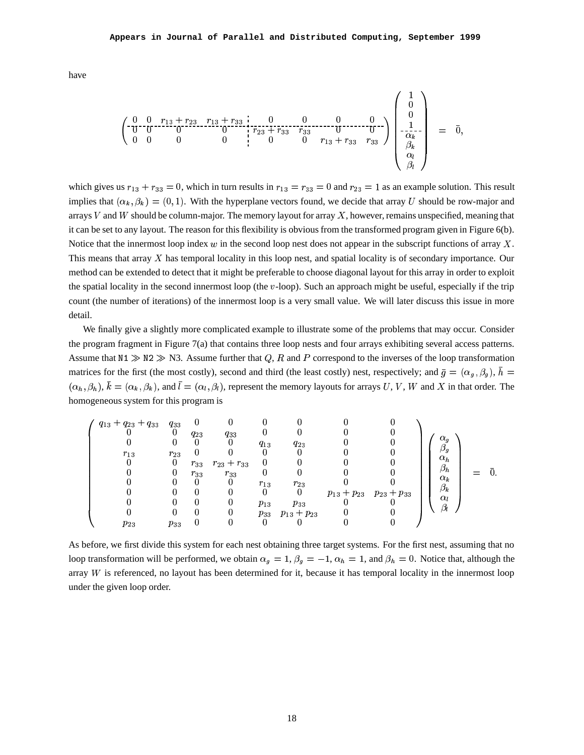have

$$
\begin{pmatrix}\n0 & 0 & r_{13} + r_{23} & r_{13} + r_{33} & 0 & 0 & 0 \\
0 & 0 & 0 & 0 & 0 & 0 & r_{13} + r_{33} & 0 \\
0 & 0 & 0 & 0 & 0 & 0 & 0 & r_{13} + r_{33} & r_{33}\n\end{pmatrix}\n\begin{pmatrix}\n1 \\
0 \\
0 \\
1 \\
-\frac{1}{\alpha_k} \\
\beta_k \\
\beta_l\n\end{pmatrix} = \bar{0},
$$

which gives us  $r_{13} + r_{33} = 0$ , which in turn results in  $r_{13} = r_{33} = 0$  and  $r_{23} = 1$  as an example solution. This result implies that  $(\alpha_k, \beta_k) = (0, 1)$ . With the hyperplane vectors found, we decide that array U should be row-major and arrays V and W should be column-major. The memory layout for array X, however, remains unspecified, meaning that it can be set to any layout. The reason for this flexibility is obvious from the transformed program given in Figure 6(b). Notice that the innermost loop index  $w$  in the second loop nest does not appear in the subscript functions of array  $X$ . This means that array  $X$  has temporal locality in this loop nest, and spatial locality is of secondary importance. Our method can be extended to detect that it might be preferable to choose diagonal layout for this array in order to exploit the spatial locality in the second innermost loop (the  $v$ -loop). Such an approach might be useful, especially if the trip count (the number of iterations) of the innermost loop is a very small value. We will later discuss this issue in more detail.

We finally give a slightly more complicated example to illustrate some of the problems that may occur. Consider the program fragment in Figure 7(a) that contains three loop nests and four arrays exhibiting several access patterns. Assume that  $N1 \gg N2 \gg N3$ . Assume further that  $Q$ , R and P correspond to the inverses of the loop transformation matrices for the first (the most costly), second and third (the least costly) nest, respectively; and  $\bar{g} = (\alpha_g, \beta_g)$ ,  $\bar{h} =$  $(\alpha_h, \beta_h), k = (\alpha_k, \beta_k)$ , and  $l = (\alpha_l, \beta_l)$ , represent the memory layouts for arrays U, V, W and X in that order. The homogeneous system for this program is

$$
\left(\begin{array}{ccccccccc}q_{13}+q_{23}+q_{33}&q_{33}&0&0&0&0&0&0\\0&0&q_{23}&q_{33}&0&0&0&0&0\\0&0&0&q_{13}&q_{23}&0&0&0\\r_{13}&r_{23}&0&0&0&0&0&0\\0&0&r_{33}&r_{23}+r_{33}&0&0&0&0\\0&0&0&r_{33}&r_{33}&0&0&0&0\\0&0&0&0&r_{13}&r_{23}&0&0\\0&0&0&0&0&p_{13}+p_{23}&p_{23}+p_{33}\\0&0&0&0&p_{13}&p_{33}&0&0\\0&0&0&0&p_{33}&p_{13}+p_{23}&0&0\\p_{23}&p_{33}&0&0&0&0&0\end{array}\right)\left(\begin{array}{c} \alpha_g\cr \beta_g\cr \alpha_h\cr \alpha_h\cr \alpha_h\cr \beta_h\cr \beta_l\end{array}\right) \;=\; \bar{0}.
$$

As before, we first divide this system for each nest obtaining three target systems. For the first nest, assuming that no loop transformation will be performed, we obtain  $\alpha_q = 1$ ,  $\beta_q = -1$ ,  $\alpha_h = 1$ , and  $\beta_h = 0$ . Notice that, although the array  $W$  is referenced, no layout has been determined for it, because it has temporal locality in the innermost loop under the given loop order.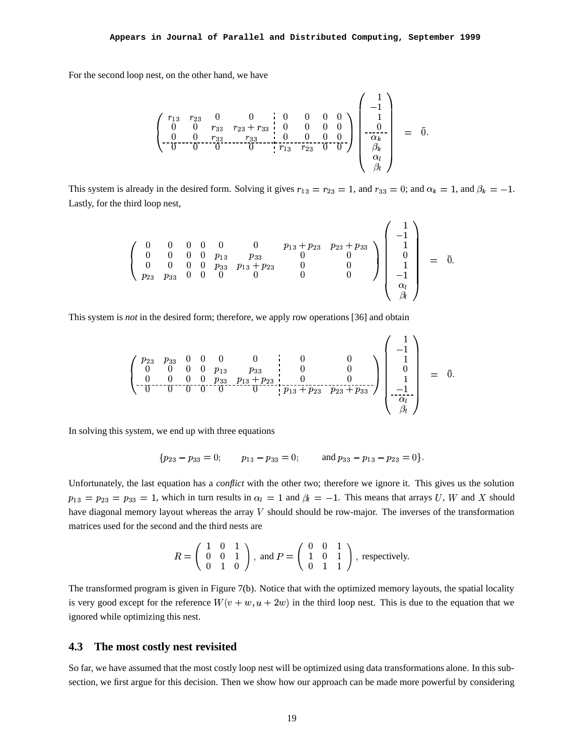For the second loop nest, on the other hand, we have

$$
\begin{pmatrix}\nr_{13} & r_{23} & 0 & 0 & 0 & 0 & 0 & 0 \\
0 & 0 & r_{33} & r_{23} + r_{33} & 0 & 0 & 0 & 0 \\
0 & 0 & r_{33} & r_{33} & r_{33} & 0 & 0 & 0 \\
0 & 0 & 0 & 0 & 0 & 0 & 0 \\
0 & 0 & 0 & 0 & 0 & 0 & 0 \\
0 & 0 & 0 & 0 & 0 & 0 & 0 \\
0 & 0 & 0 & 0 & 0 & 0 \\
0 & 0 & 0 & 0 & 0 & 0 \\
0 & 0 & 0 & 0 & 0 & 0 \\
0 & 0 & 0 & 0 & 0 & 0 \\
0 & 0 & 0 & 0 & 0 & 0 \\
0 & 0 & 0 & 0 & 0 & 0\n\end{pmatrix} = 0.
$$

This system is already in the desired form. Solving it gives  $r_{13} = r_{23} = 1$ , and  $r_{33} = 0$ ; and  $\alpha_k = 1$ , and  $\beta_k = -1$ . Lastly, for the third loop nest,

$$
\left(\begin{array}{ccccccccc}\n0 & 0 & 0 & 0 & 0 & 0 & p_{13} + p_{23} & p_{23} + p_{33} \\
0 & 0 & 0 & 0 & p_{13} & p_{33} & 0 & 0 \\
0 & 0 & 0 & p_{33} & p_{13} + p_{23} & 0 & 0 \\
p_{23} & p_{33} & 0 & 0 & 0 & 0 & 0\n\end{array}\right)\n\left(\begin{array}{c}\n1 \\
-1 \\
0 \\
0 \\
1 \\
-1 \\
-\frac{\alpha_l}{\beta_l}\n\end{array}\right) = \bar{0}.
$$

This system is *not* in the desired form; therefore, we apply row operations [36] and obtain

 <sup>5</sup> 6 <sup>5</sup> <sup>2</sup> <sup>2</sup> <sup>2</sup> <sup>2</sup> <sup>2</sup> <sup>2</sup> <sup>2</sup> <sup>2</sup> <sup>2</sup> <sup>2</sup> <sup>5</sup> 4 <sup>5</sup> <sup>2</sup> <sup>2</sup> <sup>2</sup> <sup>2</sup> <sup>2</sup> <sup>2</sup> <sup>5</sup> <sup>5</sup> 4 : <sup>5</sup> 6 <sup>2</sup> <sup>2</sup> <sup>2</sup> <sup>2</sup> <sup>2</sup> <sup>2</sup> <sup>2</sup> <sup>2</sup> <sup>5</sup> 4 : <sup>5</sup> 6 <sup>5</sup> 6 : <sup>5</sup> <sup>2</sup> & & <sup>=</sup> @2 <sup>L</sup>

In solving this system, we end up with three equations

$$
\{p_{23}-p_{33}=0;\qquad p_{13}-p_{33}=0;\qquad \text{and } p_{33}-p_{13}-p_{23}=0\}.
$$

Unfortunately, the last equation has a *conflict* with the other two; therefore we ignore it. This gives us the solution  $p_{13} = p_{23} = p_{33} = 1$ , which in turn results in  $\alpha_l = 1$  and  $\beta_l = -1$ . This means that arrays U, W and X should have diagonal memory layout whereas the array  $V$  should should be row-major. The inverses of the transformation matrices used for the second and the third nests are

$$
R = \left(\begin{array}{ccc} 1 & 0 & 1 \\ 0 & 0 & 1 \\ 0 & 1 & 0 \end{array}\right), \text{ and } P = \left(\begin{array}{ccc} 0 & 0 & 1 \\ 1 & 0 & 1 \\ 0 & 1 & 1 \end{array}\right), \text{ respectively.}
$$

The transformed program is given in Figure 7(b). Notice that with the optimized memory layouts, the spatial locality is very good except for the reference  $W(v + w, u + 2w)$  in the third loop nest. This is due to the equation that we ignored while optimizing this nest.

### **4.3 The most costly nest revisited**

So far, we have assumed that the most costly loop nest will be optimized using data transformations alone. In this subsection, we first argue for this decision. Then we show how our approach can be made more powerful by considering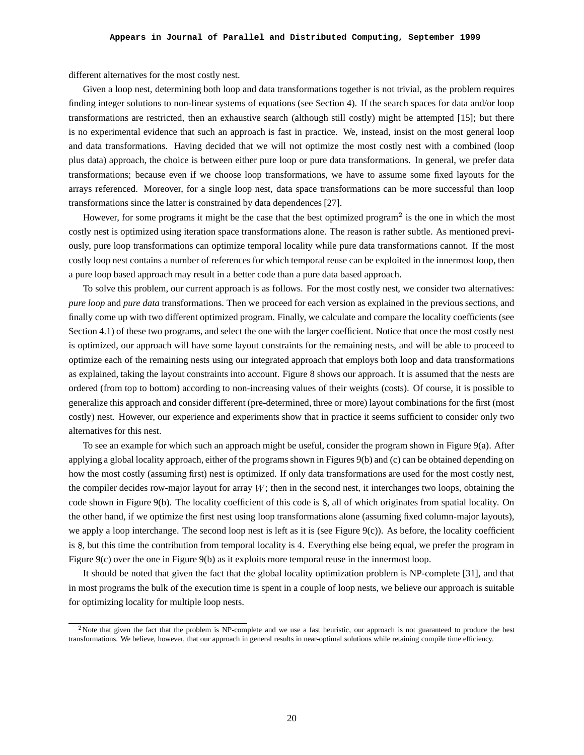different alternatives for the most costly nest.

Given a loop nest, determining both loop and data transformations together is not trivial, as the problem requires finding integer solutions to non-linear systems of equations (see Section 4). If the search spaces for data and/or loop transformations are restricted, then an exhaustive search (although still costly) might be attempted [15]; but there is no experimental evidence that such an approach is fast in practice. We, instead, insist on the most general loop and data transformations. Having decided that we will not optimize the most costly nest with a combined (loop plus data) approach, the choice is between either pure loop or pure data transformations. In general, we prefer data transformations; because even if we choose loop transformations, we have to assume some fixed layouts for the arrays referenced. Moreover, for a single loop nest, data space transformations can be more successful than loop transformations since the latter is constrained by data dependences [27].

However, for some programs it might be the case that the best optimized program<sup>2</sup> is the one in which the most costly nest is optimized using iteration space transformations alone. The reason is rather subtle. As mentioned previously, pure loop transformations can optimize temporal locality while pure data transformations cannot. If the most costly loop nest contains a number of references for which temporal reuse can be exploited in the innermost loop, then a pure loop based approach may result in a better code than a pure data based approach.

To solve this problem, our current approach is as follows. For the most costly nest, we consider two alternatives: *pure loop* and *pure data* transformations. Then we proceed for each version as explained in the previous sections, and finally come up with two different optimized program. Finally, we calculate and compare the locality coefficients (see Section 4.1) of these two programs, and select the one with the larger coefficient. Notice that once the most costly nest is optimized, our approach will have some layout constraints for the remaining nests, and will be able to proceed to optimize each of the remaining nests using our integrated approach that employs both loop and data transformations as explained, taking the layout constraints into account. Figure 8 shows our approach. It is assumed that the nests are ordered (from top to bottom) according to non-increasing values of their weights (costs). Of course, it is possible to generalize this approach and consider different (pre-determined, three or more) layout combinations for the first (most costly) nest. However, our experience and experiments show that in practice it seems sufficient to consider only two alternatives for this nest.

To see an example for which such an approach might be useful, consider the program shown in Figure 9(a). After applying a global locality approach, either of the programs shown in Figures 9(b) and (c) can be obtained depending on how the most costly (assuming first) nest is optimized. If only data transformations are used for the most costly nest, the compiler decides row-major layout for array  $W$ ; then in the second nest, it interchanges two loops, obtaining the code shown in Figure 9(b). The locality coefficient of this code is 8, all of which originates from spatial locality. On the other hand, if we optimize the first nest using loop transformations alone (assuming fixed column-major layouts), we apply a loop interchange. The second loop nest is left as it is (see Figure  $9(c)$ ). As before, the locality coefficient is 8, but this time the contribution from temporal locality is 4. Everything else being equal, we prefer the program in Figure 9(c) over the one in Figure 9(b) as it exploits more temporal reuse in the innermost loop.

It should be noted that given the fact that the global locality optimization problem is NP-complete [31], and that in most programs the bulk of the execution time is spent in a couple of loop nests, we believe our approach is suitable for optimizing locality for multiple loop nests.

 $<sup>2</sup>$  Note that given the fact that the problem is NP-complete and we use a fast heuristic, our approach is not guaranteed to produce the best</sup> transformations. We believe, however, that our approach in general results in near-optimal solutions while retaining compile time efficiency.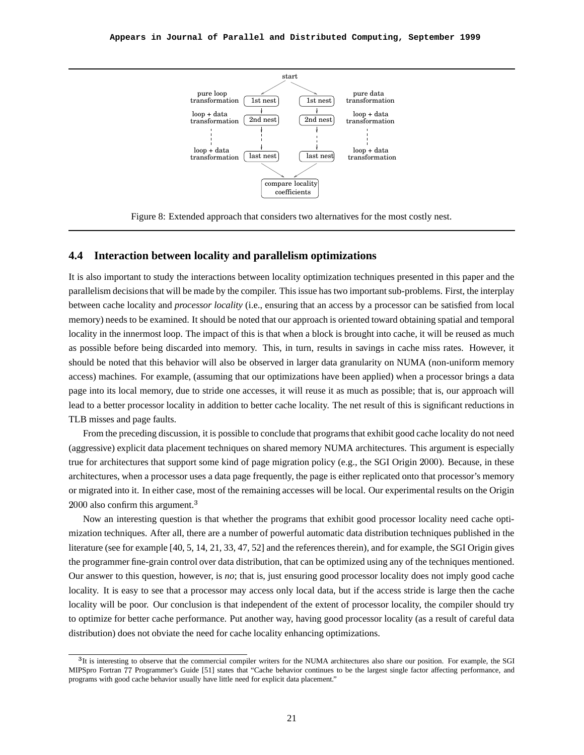

Figure 8: Extended approach that considers two alternatives for the most costly nest.

### **4.4 Interaction between locality and parallelism optimizations**

It is also important to study the interactions between locality optimization techniques presented in this paper and the parallelism decisionsthat will be made by the compiler. This issue has two importantsub-problems. First, the interplay between cache locality and *processor locality* (i.e., ensuring that an access by a processor can be satisfied from local memory) needs to be examined. It should be noted that our approach is oriented toward obtaining spatial and temporal locality in the innermost loop. The impact of this is that when a block is brought into cache, it will be reused as much as possible before being discarded into memory. This, in turn, results in savings in cache miss rates. However, it should be noted that this behavior will also be observed in larger data granularity on NUMA (non-uniform memory access) machines. For example, (assuming that our optimizations have been applied) when a processor brings a data page into its local memory, due to stride one accesses, it will reuse it as much as possible; that is, our approach will lead to a better processor locality in addition to better cache locality. The net result of this is significant reductions in TLB misses and page faults.

From the preceding discussion, it is possible to conclude that programs that exhibit good cache locality do not need (aggressive) explicit data placement techniques on shared memory NUMA architectures. This argument is especially true for architectures that support some kind of page migration policy (e.g., the SGI Origin 2000). Because, in these architectures, when a processor uses a data page frequently, the page is either replicated onto that processor's memory or migrated into it. In either case, most of the remaining accesses will be local. Our experimental results on the Origin  $2000$  also confirm this argument.<sup>3</sup>

Now an interesting question is that whether the programs that exhibit good processor locality need cache optimization techniques. After all, there are a number of powerful automatic data distribution techniques published in the literature (see for example [40, 5, 14, 21, 33, 47, 52] and the references therein), and for example, the SGI Origin gives the programmer fine-grain control over data distribution, that can be optimized using any of the techniques mentioned. Our answer to this question, however, is *no*; that is, just ensuring good processor locality does not imply good cache locality. It is easy to see that a processor may access only local data, but if the access stride is large then the cache locality will be poor. Our conclusion is that independent of the extent of processor locality, the compiler should try to optimize for better cache performance. Put another way, having good processor locality (as a result of careful data distribution) does not obviate the need for cache locality enhancing optimizations.

 ${}^{3}$ It is interesting to observe that the commercial compiler writers for the NUMA architectures also share our position. For example, the SGI MIPSpro Fortran 77 Programmer's Guide [51] states that "Cache behavior continues to be the largest single factor affecting performance, and programs with good cache behavior usually have little need for explicit data placement."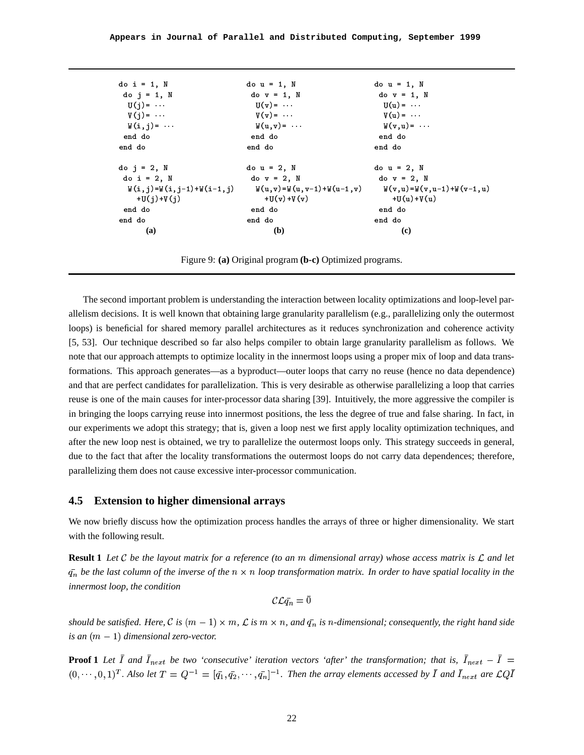| do i = 1, $N$ | do $u = 1$ , N                                                                               | do $u = 1$ , N  |
|---------------|----------------------------------------------------------------------------------------------|-----------------|
| do j = 1, $N$ | do $v = 1$ , N                                                                               | do $v = 1$ . N  |
| $U(i) =$      | $U(v) =$                                                                                     | $U(u) = \cdots$ |
| $V(i) =$      | $V(v) =$                                                                                     | $V(u) =$        |
| $W(i, j) = $  | $W(u,v) =$                                                                                   | $W(v, u) =$     |
| end do        | end do                                                                                       | end do          |
| end do        | end do                                                                                       | end do          |
|               |                                                                                              |                 |
| do $i = 2, N$ | do $u = 2, N$                                                                                | do $u = 2$ , N  |
| do i = 2, N   | do v = 2. N                                                                                  | do v = 2, N     |
|               | $W(i,j) = W(i,j-1) + W(i-1,j)$ $W(u,v) = W(u,v-1) + W(u-1,v)$ $W(v,u) = W(v,u-1) + W(v-1,u)$ |                 |
| $+U(j)+V(j)$  | $+U(y)+V(y)$                                                                                 | $+U(u)+V(u)$    |
| end do        | end do                                                                                       | end do          |
| end do        | end do                                                                                       | end do          |
| (a)           | (b)                                                                                          | (c)             |

Figure 9: **(a)** Original program **(b-c)** Optimized programs.

The second important problem is understanding the interaction between locality optimizations and loop-level parallelism decisions. It is well known that obtaining large granularity parallelism (e.g., parallelizing only the outermost loops) is beneficial for shared memory parallel architectures as it reduces synchronization and coherence activity [5, 53]. Our technique described so far also helps compiler to obtain large granularity parallelism as follows. We note that our approach attempts to optimize locality in the innermost loops using a proper mix of loop and data transformations. This approach generates—as a byproduct—outer loops that carry no reuse (hence no data dependence) and that are perfect candidates for parallelization. This is very desirable as otherwise parallelizing a loop that carries reuse is one of the main causes for inter-processor data sharing [39]. Intuitively, the more aggressive the compiler is in bringing the loops carrying reuse into innermost positions, the less the degree of true and false sharing. In fact, in our experiments we adopt this strategy; that is, given a loop nest we first apply locality optimization techniques, and after the new loop nest is obtained, we try to parallelize the outermost loops only. This strategy succeeds in general, due to the fact that after the locality transformations the outermost loops do not carry data dependences; therefore, parallelizing them does not cause excessive inter-processor communication.

### **4.5 Extension to higher dimensional arrays**

We now briefly discuss how the optimization process handles the arrays of three or higher dimensionality. We start with the following result.

**Result 1** Let C be the layout matrix for a reference (to an m dimensional array) whose access matrix is L and let  $\bar{q}_n$  be the last column of the inverse of the  $n \times n$  loop transformation matrix. In order to have spatial locality in the *innermost loop, the condition*

$$
\mathcal{CL} \bar{q_n} = \bar{0}
$$

should be satisfied. Here, C is  $(m-1) \times m$ , C is  $m \times n$ , and  $\bar{q}_n$  is n-dimensional; consequently, the right hand side *is an*  $(m - 1)$  dimensional zero-vector.

**Proof** 1 Let I and  $I_{next}$  be two 'consecutive' iteration vectors 'after' the transformation; that is,  $I_{next} - I =$  $(0,\dots,0,1)^T$ . Also let  $T = Q^{-1} = [\bar{q_1}, \bar{q_2}, \dots, \bar{q_n}]^{-1}$ . Then the array elements accessed by I and I<sub>next</sub> are  $\mathcal{L}QI$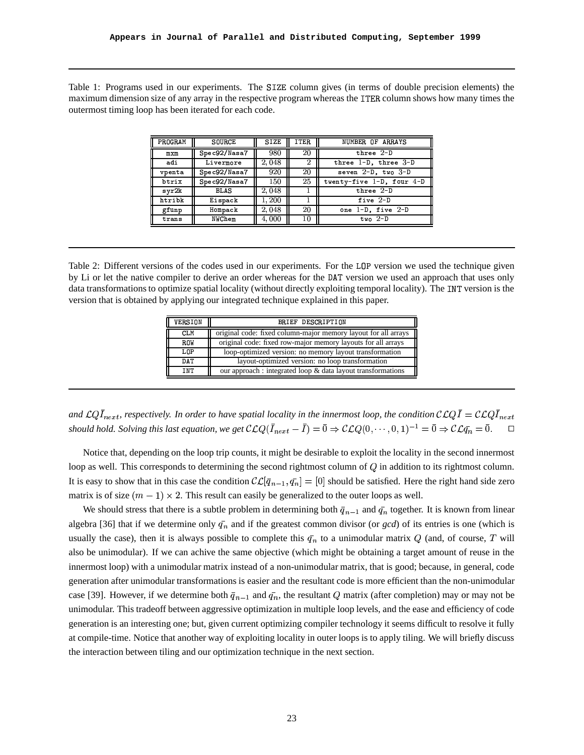Table 1: Programs used in our experiments. The SIZE column gives (in terms of double precision elements) the maximum dimension size of any array in the respective program whereas the ITER column shows how many times the outermost timing loop has been iterated for each code.

| PROGRAM | SOURCE       | SIZE  | ITER | NUMBER OF ARRAYS               |  |  |
|---------|--------------|-------|------|--------------------------------|--|--|
| mxm     | Spec92/Nasa7 | 980   | 20   | three 2-D                      |  |  |
| adi     | Livermore    | 2.048 | 2    | three 1-D, three 3-D           |  |  |
| vpenta  | Spec92/Nasa7 | 920   | 20   | seven $2-D$ , two $3-D$        |  |  |
| btrix   | Spec92/Nasa7 | 150   | 25   | twenty-five $1-D$ , four $4-D$ |  |  |
| syr2k   | BLAS         | 2.048 |      | three 2-D                      |  |  |
| htribk  | Eispack      | 1.200 |      | five 2-D                       |  |  |
| gfunp   | Hompack      | 2.048 | 20   | one $1-D$ , five $2-D$         |  |  |
| trans   | NWChem       | 4.000 | 10   | two $2-D$                      |  |  |

Table 2: Different versions of the codes used in our experiments. For the LOP version we used the technique given by Li or let the native compiler to derive an order whereas for the DAT version we used an approach that uses only data transformations to optimize spatial locality (without directly exploiting temporal locality). The INT version is the version that is obtained by applying our integrated technique explained in this paper.

| VERSION          | BRIEF DESCRIPTION                                              |
|------------------|----------------------------------------------------------------|
| <b>CLM</b>       | original code: fixed column-major memory layout for all arrays |
| <b>ROW</b>       | original code: fixed row-major memory layouts for all arrays   |
| L <sub>0</sub> P | loop-optimized version: no memory layout transformation        |
| DAT              | layout-optimized version: no loop transformation               |
| <b>TNT</b>       | our approach : integrated loop & data layout transformations   |

and  $\mathcal{L}QI_{next}$ , respectively. In order to have spatial locality in the innermost loop, the condition  $\mathcal{L}QI = \mathcal{L}\mathcal{L}QI_{next}$  $should$  hold. Solving this last equation, we get  $\mathcal{C}\mathcal{L}Q(I_{next}-I)=\bar{0} \Rightarrow \mathcal{C}\mathcal{L}Q(0,\cdots,0,1)^{-1}=\bar{0} \Rightarrow \mathcal{C}\mathcal{L}\bar{q_n}=\bar{0}.$ 

Notice that, depending on the loop trip counts, it might be desirable to exploit the locality in the second innermost loop as well. This corresponds to determining the second rightmost column of  $Q$  in addition to its rightmost column. It is easy to show that in this case the condition  $CL[\bar{q}_{n-1}, \bar{q}_n] = [0]$  should be satisfied. Here the right hand side zero matrix is of size  $(m - 1) \times 2$ . This result can easily be generalized to the outer loops as well.

We should stress that there is a subtle problem in determining both  $\bar{q}_{n-1}$  and  $\bar{q}_n$  together. It is known from linear algebra [36] that if we determine only  $\bar{q}_n$  and if the greatest common divisor (or *gcd*) of its entries is one (which is usually the case), then it is always possible to complete this  $\bar{q}_n$  to a unimodular matrix  $Q$  (and, of course, T will also be unimodular). If we can achive the same objective (which might be obtaining a target amount of reuse in the innermost loop) with a unimodular matrix instead of a non-unimodular matrix, that is good; because, in general, code generation after unimodular transformations is easier and the resultant code is more efficient than the non-unimodular case [39]. However, if we determine both  $\bar{q}_{n-1}$  and  $\bar{q}_n$ , the resultant Q matrix (after completion) may or may not be unimodular. This tradeoff between aggressive optimization in multiple loop levels, and the ease and efficiency of code generation is an interesting one; but, given current optimizing compiler technology it seems difficult to resolve it fully at compile-time. Notice that another way of exploiting locality in outer loops is to apply tiling. We will briefly discuss the interaction between tiling and our optimization technique in the next section.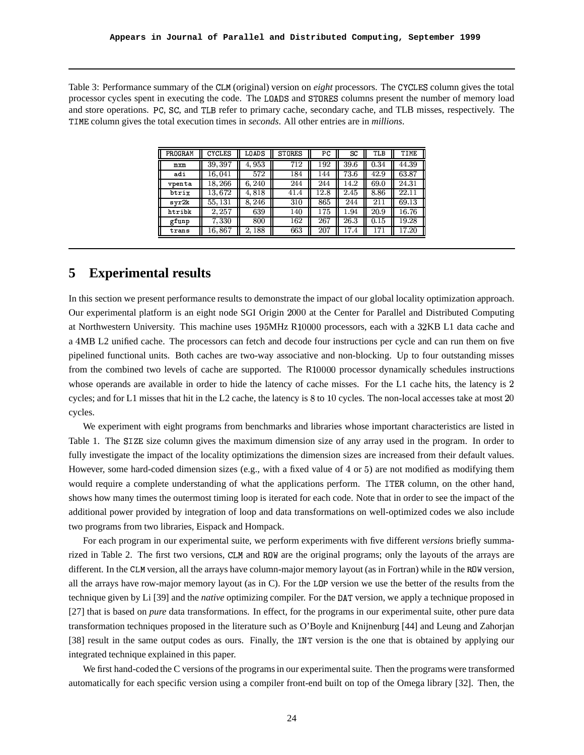Table 3: Performance summary of the CLM (original) version on *eight* processors. The CYCLES column gives the total processor cycles spent in executing the code. The L0ADS and ST0RES columns present the number of memory load and store operations. PC, SC, and TLB refer to primary cache, secondary cache, and TLB misses, respectively. The column gives the total execution times in *seconds*. All other entries are in *millions*.

| PROGRAM | <b>CYCLES</b> | LOADS      | <b>STORES</b> | PС   | SC   | TLB  | TIME  |
|---------|---------------|------------|---------------|------|------|------|-------|
| mxm     | 39, 397       | 953<br>-4. | 712           | 192  | 39.6 | 0.34 | 44.39 |
| adi     | 16,041        | 572        | 184           | 144  | 73.6 | 42.9 | 63.87 |
| vpenta  | 18,266        | 6,240      | 244           | 244  | 14.2 | 69.0 | 24.31 |
| btrix   | 13.672        | 818<br>-4, | 41.4          | 12.8 | 2.45 | 8.86 | 22.11 |
| syr2k   | 55, 131       | 246<br>8   | 310           | 865  | 244  | 211  | 69.13 |
| htribk  | 2, 257        | 639        | 140           | 175  | 1.94 | 20.9 | 16.76 |
| gfunp   | 7.330         | 800        | 162           | 267  | 26.3 | 0.15 | 19.28 |
| trans   | 16,867        | 2,188      | 663           | 207  | 17.4 | 171  | 17.20 |

# **5 Experimental results**

In this section we present performance results to demonstrate the impact of our global locality optimization approach. Our experimental platform is an eight node SGI Origin 2000 at the Center for Parallel and Distributed Computing at Northwestern University. This machine uses 195MHz R10000 processors, each with a 32KB L1 data cache and a NMB L2 unified cache. The processors can fetch and decode four instructions per cycle and can run them on five pipelined functional units. Both caches are two-way associative and non-blocking. Up to four outstanding misses from the combined two levels of cache are supported. The R10000 processor dynamically schedules instructions whose operands are available in order to hide the latency of cache misses. For the L1 cache hits, the latency is 2 cycles; and for L1 misses that hit in the L2 cache, the latency is  $8$  to  $10$  cycles. The non-local accesses take at most  $20$ cycles.

We experiment with eight programs from benchmarks and libraries whose important characteristics are listed in Table 1. The SIZE size column gives the maximum dimension size of any array used in the program. In order to fully investigate the impact of the locality optimizations the dimension sizes are increased from their default values. However, some hard-coded dimension sizes (e.g., with a fixed value of  $4$  or  $5$ ) are not modified as modifying them would require a complete understanding of what the applications perform. The ITER column, on the other hand, shows how many times the outermost timing loop is iterated for each code. Note that in order to see the impact of the additional power provided by integration of loop and data transformations on well-optimized codes we also include two programs from two libraries, Eispack and Hompack.

For each program in our experimental suite, we perform experiments with five different *versions* briefly summarized in Table 2. The first two versions, CLM and ROW are the original programs; only the layouts of the arrays are different. In the CLM version, all the arrays have column-major memory layout (as in Fortran) while in the ROW version, all the arrays have row-major memory layout (as in  $C$ ). For the LOP version we use the better of the results from the technique given by Li [39] and the *native* optimizing compiler. For the DAT version, we apply a technique proposed in [27] that is based on *pure* data transformations. In effect, for the programs in our experimental suite, other pure data transformation techniques proposed in the literature such as O'Boyle and Knijnenburg [44] and Leung and Zahorjan [38] result in the same output codes as ours. Finally, the INT version is the one that is obtained by applying our integrated technique explained in this paper.

We first hand-coded the C versions of the programs in our experimental suite. Then the programs were transformed automatically for each specific version using a compiler front-end built on top of the Omega library [32]. Then, the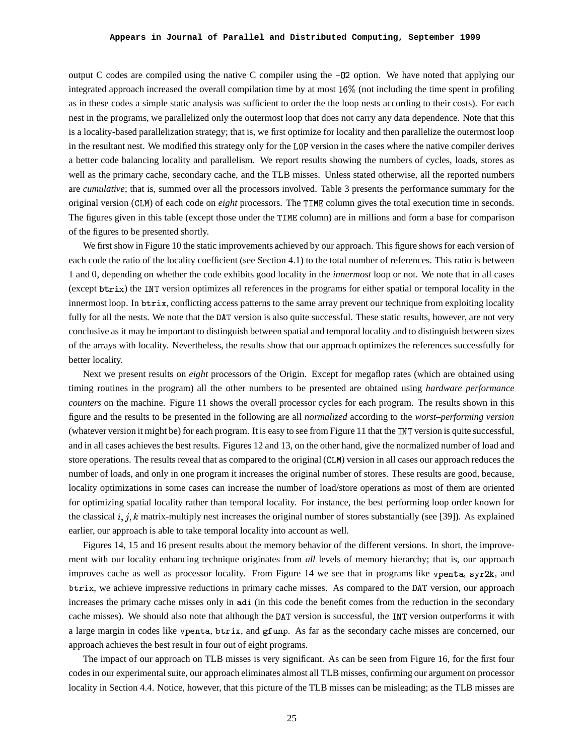#### **Appears in Journal of Parallel and Distributed Computing, September 1999**

output C codes are compiled using the native C compiler using the  $\neg$  02 option. We have noted that applying our integrated approach increased the overall compilation time by at most  $16\%$  (not including the time spent in profiling as in these codes a simple static analysis was sufficient to order the the loop nests according to their costs). For each nest in the programs, we parallelized only the outermost loop that does not carry any data dependence. Note that this is a locality-based parallelization strategy; that is, we first optimize for locality and then parallelize the outermost loop in the resultant nest. We modified this strategy only for the L0P version in the cases where the native compiler derives a better code balancing locality and parallelism. We report results showing the numbers of cycles, loads, stores as well as the primary cache, secondary cache, and the TLB misses. Unless stated otherwise, all the reported numbers are *cumulative*; that is, summed over all the processors involved. Table 3 presents the performance summary for the original version (CLM) of each code on *eight* processors. The TIME column gives the total execution time in seconds. The figures given in this table (except those under the TIME column) are in millions and form a base for comparison of the figures to be presented shortly.

We first show in Figure 10 the static improvements achieved by our approach. This figure shows for each version of each code the ratio of the locality coefficient (see Section 4.1) to the total number of references. This ratio is between 1 and 0, depending on whether the code exhibits good locality in the *innermost* loop or not. We note that in all cases (except btrix) the INT version optimizes all references in the programs for either spatial or temporal locality in the innermost loop. In btrix, conflicting access patterns to the same array prevent our technique from exploiting locality fully for all the nests. We note that the DAT version is also quite successful. These static results, however, are not very conclusive as it may be important to distinguish between spatial and temporal locality and to distinguish between sizes of the arrays with locality. Nevertheless, the results show that our approach optimizes the references successfully for better locality.

Next we present results on *eight* processors of the Origin. Except for megaflop rates (which are obtained using timing routines in the program) all the other numbers to be presented are obtained using *hardware performance counters* on the machine. Figure 11 shows the overall processor cycles for each program. The results shown in this figure and the results to be presented in the following are all *normalized* according to the *worst–performing version* (whatever version it might be) for each program. It is easy to see from Figure 11 that the INT version is quite successful, and in all cases achieves the best results. Figures 12 and 13, on the other hand, give the normalized number of load and store operations. The results reveal that as compared to the original (CLM) version in all cases our approach reduces the number of loads, and only in one program it increases the original number of stores. These results are good, because, locality optimizations in some cases can increase the number of load/store operations as most of them are oriented for optimizing spatial locality rather than temporal locality. For instance, the best performing loop order known for the classical  $i, j, k$  matrix-multiply nest increases the original number of stores substantially (see [39]). As explained earlier, our approach is able to take temporal locality into account as well.

Figures 14, 15 and 16 present results about the memory behavior of the different versions. In short, the improvement with our locality enhancing technique originates from *all* levels of memory hierarchy; that is, our approach improves cache as well as processor locality. From Figure 14 we see that in programs like vpenta,  $syr2k$ , and btrix, we achieve impressive reductions in primary cache misses. As compared to the DAT version, our approach increases the primary cache misses only in adi (in this code the benefit comes from the reduction in the secondary cache misses). We should also note that although the DAT version is successful, the INT version outperforms it with a large margin in codes like vpenta, btrix, and gfunp. As far as the secondary cache misses are concerned, our approach achieves the best result in four out of eight programs.

The impact of our approach on TLB misses is very significant. As can be seen from Figure 16, for the first four codes in our experimental suite, our approach eliminates almost all TLB misses, confirming our argument on processor locality in Section 4.4. Notice, however, that this picture of the TLB misses can be misleading; as the TLB misses are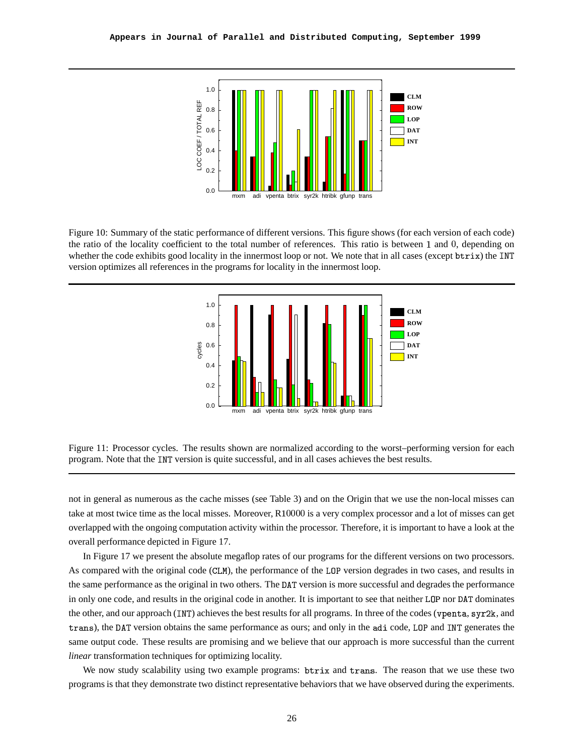

Figure 10: Summary of the static performance of different versions. This figure shows (for each version of each code) the ratio of the locality coefficient to the total number of references. This ratio is between 1 and 0, depending on whether the code exhibits good locality in the innermost loop or not. We note that in all cases (except  $\text{btr}$ ix) the INT version optimizes all references in the programs for locality in the innermost loop.



Figure 11: Processor cycles. The results shown are normalized according to the worst–performing version for each program. Note that the INT version is quite successful, and in all cases achieves the best results.

not in general as numerous as the cache misses (see Table 3) and on the Origin that we use the non-local misses can take at most twice time as the local misses. Moreover, R10000 is a very complex processor and a lot of misses can get overlapped with the ongoing computation activity within the processor. Therefore, it is important to have a look at the overall performance depicted in Figure 17.

In Figure 17 we present the absolute megaflop rates of our programs for the different versions on two processors. As compared with the original code (CLM), the performance of the L0P version degrades in two cases, and results in the same performance as the original in two others. The DAT version is more successful and degrades the performance in only one code, and results in the original code in another. It is important to see that neither LOP nor DAT dominates the other, and our approach (INT) achieves the best results for all programs. In three of the codes (vpenta, syr2k, and trans), the DAT version obtains the same performance as ours; and only in the adi code, LOP and INT generates the same output code. These results are promising and we believe that our approach is more successful than the current *linear* transformation techniques for optimizing locality.

We now study scalability using two example programs: btrix and trans. The reason that we use these two programs is that they demonstrate two distinct representative behaviors that we have observed during the experiments.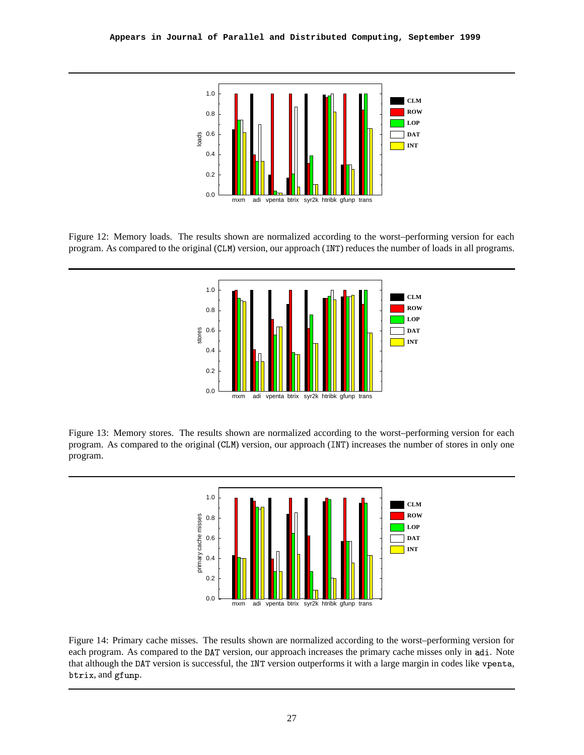

Figure 12: Memory loads. The results shown are normalized according to the worst–performing version for each program. As compared to the original (CLM) version, our approach (INT) reduces the number of loads in all programs.



Figure 13: Memory stores. The results shown are normalized according to the worst–performing version for each program. As compared to the original (CLM) version, our approach (INT) increases the number of stores in only one program.



Figure 14: Primary cache misses. The results shown are normalized according to the worst–performing version for each program. As compared to the DAT version, our approach increases the primary cache misses only in adi. Note that although the DAT version is successful, the INT version outperforms it with a large margin in codes like vpenta, btrix, and gfunp.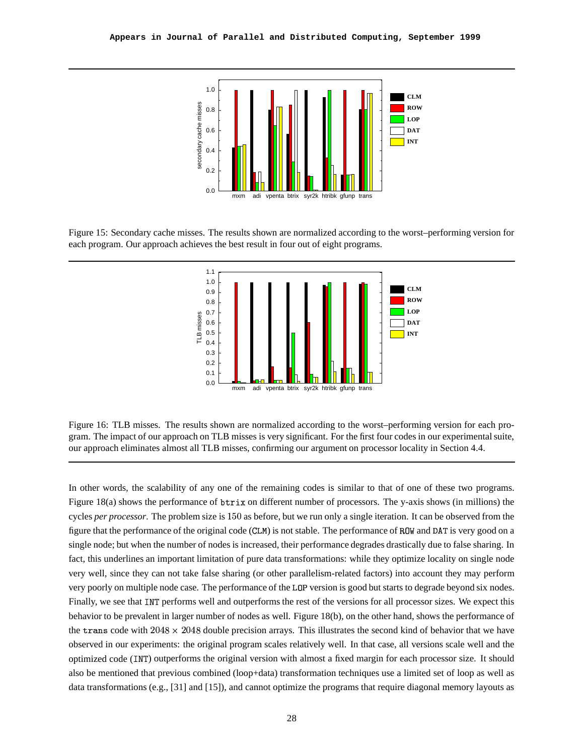

Figure 15: Secondary cache misses. The results shown are normalized according to the worst–performing version for each program. Our approach achieves the best result in four out of eight programs.



Figure 16: TLB misses. The results shown are normalized according to the worst–performing version for each program. The impact of our approach on TLB misses is very significant. For the first four codes in our experimentalsuite, our approach eliminates almost all TLB misses, confirming our argument on processor locality in Section 4.4.

In other words, the scalability of any one of the remaining codes is similar to that of one of these two programs. Figure 18(a) shows the performance of btrix on different number of processors. The y-axis shows (in millions) the cycles *per processor*. The problem size is 150 as before, but we run only a single iteration. It can be observed from the figure that the performance of the original code (CLM) is not stable. The performance of ROW and DAT is very good on a single node; but when the number of nodes is increased, their performance degrades drastically due to false sharing. In fact, this underlines an important limitation of pure data transformations: while they optimize locality on single node very well, since they can not take false sharing (or other parallelism-related factors) into account they may perform very poorly on multiple node case. The performance of the L0P version is good but starts to degrade beyond six nodes. Finally, we see that INT performs well and outperforms the rest of the versions for all processor sizes. We expect this behavior to be prevalent in larger number of nodes as well. Figure 18(b), on the other hand, shows the performance of the trans code with  $2048 \times 2048$  double precision arrays. This illustrates the second kind of behavior that we have observed in our experiments: the original program scales relatively well. In that case, all versions scale well and the optimized code (INT) outperforms the original version with almost a fixed margin for each processor size. It should also be mentioned that previous combined (loop+data) transformation techniques use a limited set of loop as well as data transformations (e.g., [31] and [15]), and cannot optimize the programs that require diagonal memory layouts as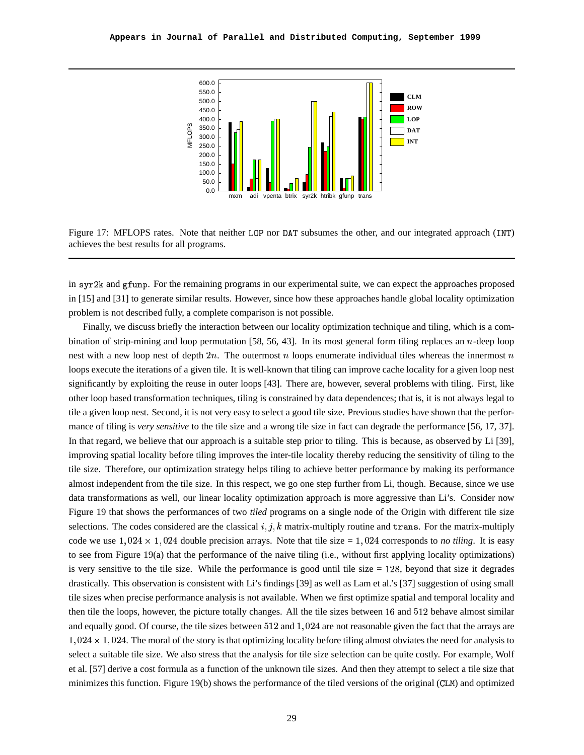

Figure 17: MFLOPS rates. Note that neither L0P nor DAT subsumes the other, and our integrated approach (INT) achieves the best results for all programs.

in syr2k and gfunp. For the remaining programs in our experimental suite, we can expect the approaches proposed in [15] and [31] to generate similar results. However, since how these approaches handle global locality optimization problem is not described fully, a complete comparison is not possible.

Finally, we discuss briefly the interaction between our locality optimization technique and tiling, which is a combination of strip-mining and loop permutation [58, 56, 43]. In its most general form tiling replaces an  $n$ -deep loop nest with a new loop nest of depth  $2n$ . The outermost n loops enumerate individual tiles whereas the innermost n loops execute the iterations of a given tile. It is well-known that tiling can improve cache locality for a given loop nest significantly by exploiting the reuse in outer loops [43]. There are, however, several problems with tiling. First, like other loop based transformation techniques, tiling is constrained by data dependences; that is, it is not always legal to tile a given loop nest. Second, it is not very easy to select a good tile size. Previous studies have shown that the performance of tiling is *very sensitive* to the tile size and a wrong tile size in fact can degrade the performance [56, 17, 37]. In that regard, we believe that our approach is a suitable step prior to tiling. This is because, as observed by Li [39], improving spatial locality before tiling improves the inter-tile locality thereby reducing the sensitivity of tiling to the tile size. Therefore, our optimization strategy helps tiling to achieve better performance by making its performance almost independent from the tile size. In this respect, we go one step further from Li, though. Because, since we use data transformations as well, our linear locality optimization approach is more aggressive than Li's. Consider now Figure 19 that shows the performances of two *tiled* programs on a single node of the Origin with different tile size selections. The codes considered are the classical  $i, j, k$  matrix-multiply routine and trans. For the matrix-multiply code we use  $1,024 \times 1,024$  double precision arrays. Note that tile size  $= 1,024$  corresponds to *no tiling*. It is easy to see from Figure 19(a) that the performance of the naive tiling (i.e., without first applying locality optimizations) is very sensitive to the tile size. While the performance is good until tile size  $= 128$ , beyond that size it degrades drastically. This observation is consistent with Li's findings [39] as well as Lam et al.'s [37] suggestion of using small tile sizes when precise performance analysis is not available. When we first optimize spatial and temporal locality and then tile the loops, however, the picture totally changes. All the tile sizes between 16 and 512 behave almost similar and equally good. Of course, the tile sizes between  $512$  and  $1,024$  are not reasonable given the fact that the arrays are  $1,024 \times 1,024$ . The moral of the story is that optimizing locality before tiling almost obviates the need for analysis to select a suitable tile size. We also stress that the analysis for tile size selection can be quite costly. For example, Wolf et al. [57] derive a cost formula as a function of the unknown tile sizes. And then they attempt to select a tile size that minimizes this function. Figure 19(b) shows the performance of the tiled versions of the original ( $CLM$ ) and optimized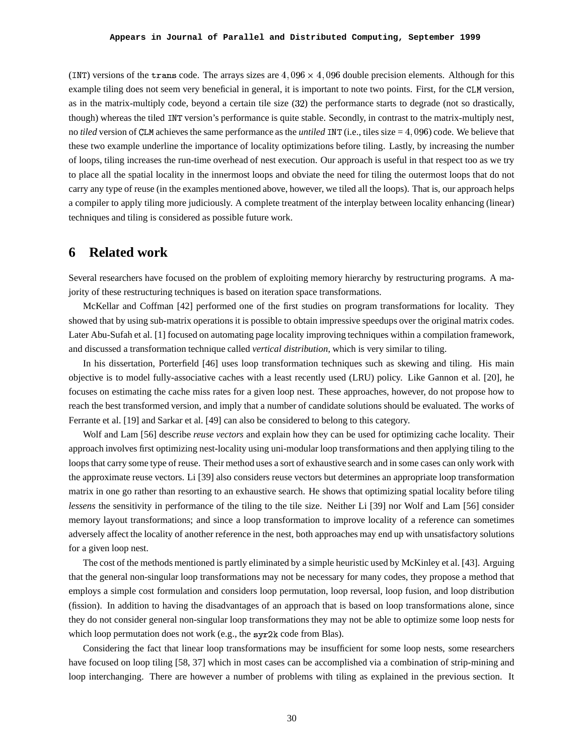#### **Appears in Journal of Parallel and Distributed Computing, September 1999**

(INT) versions of the trans code. The arrays sizes are  $4,096 \times 4,096$  double precision elements. Although for this example tiling does not seem very beneficial in general, it is important to note two points. First, for the CLM version, as in the matrix-multiply code, beyond a certain tile size (32) the performance starts to degrade (not so drastically, though) whereas the tiled INT version's performance is quite stable. Secondly, in contrast to the matrix-multiply nest, no *tiled* version of CLM achieves the same performance as the *untiled* INT (i.e., tiles size = 4,096) code. We believe that these two example underline the importance of locality optimizations before tiling. Lastly, by increasing the number of loops, tiling increases the run-time overhead of nest execution. Our approach is useful in that respect too as we try to place all the spatial locality in the innermost loops and obviate the need for tiling the outermost loops that do not carry any type of reuse (in the examples mentioned above, however, we tiled all the loops). That is, our approach helps a compiler to apply tiling more judiciously. A complete treatment of the interplay between locality enhancing (linear) techniques and tiling is considered as possible future work.

# **6 Related work**

Several researchers have focused on the problem of exploiting memory hierarchy by restructuring programs. A majority of these restructuring techniques is based on iteration space transformations.

McKellar and Coffman [42] performed one of the first studies on program transformations for locality. They showed that by using sub-matrix operations it is possible to obtain impressive speedups over the original matrix codes. Later Abu-Sufah et al. [1] focused on automating page locality improving techniques within a compilation framework, and discussed a transformation technique called *vertical distribution*, which is very similar to tiling.

In his dissertation, Porterfield [46] uses loop transformation techniques such as skewing and tiling. His main objective is to model fully-associative caches with a least recently used (LRU) policy. Like Gannon et al. [20], he focuses on estimating the cache miss rates for a given loop nest. These approaches, however, do not propose how to reach the best transformed version, and imply that a number of candidate solutions should be evaluated. The works of Ferrante et al. [19] and Sarkar et al. [49] can also be considered to belong to this category.

Wolf and Lam [56] describe *reuse vectors* and explain how they can be used for optimizing cache locality. Their approach involves first optimizing nest-locality using uni-modular loop transformations and then applying tiling to the loops that carry some type of reuse. Their method uses a sort of exhaustive search and in some cases can only work with the approximate reuse vectors. Li [39] also considers reuse vectors but determines an appropriate loop transformation matrix in one go rather than resorting to an exhaustive search. He shows that optimizing spatial locality before tiling *lessens* the sensitivity in performance of the tiling to the tile size. Neither Li [39] nor Wolf and Lam [56] consider memory layout transformations; and since a loop transformation to improve locality of a reference can sometimes adversely affect the locality of another reference in the nest, both approaches may end up with unsatisfactory solutions for a given loop nest.

The cost of the methods mentioned is partly eliminated by a simple heuristic used by McKinley et al. [43]. Arguing that the general non-singular loop transformations may not be necessary for many codes, they propose a method that employs a simple cost formulation and considers loop permutation, loop reversal, loop fusion, and loop distribution (fission). In addition to having the disadvantages of an approach that is based on loop transformations alone, since they do not consider general non-singular loop transformations they may not be able to optimize some loop nests for which loop permutation does not work (e.g., the  $syr2k$  code from Blas).

Considering the fact that linear loop transformations may be insufficient for some loop nests, some researchers have focused on loop tiling [58, 37] which in most cases can be accomplished via a combination of strip-mining and loop interchanging. There are however a number of problems with tiling as explained in the previous section. It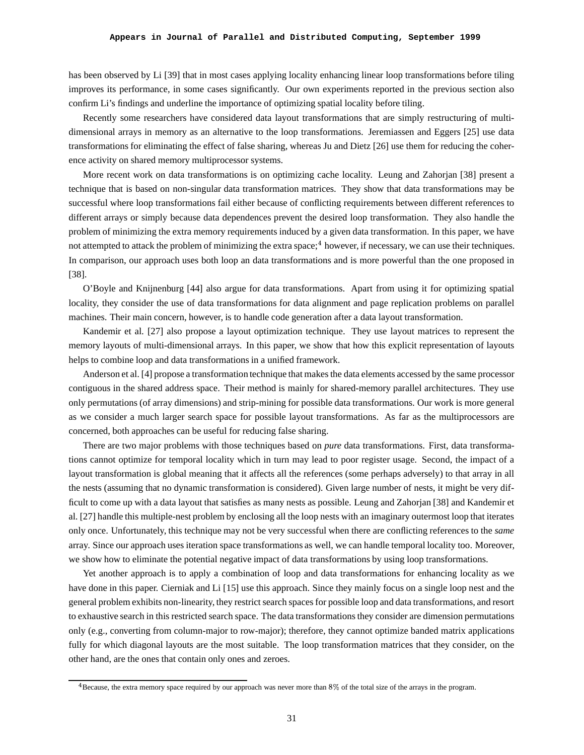#### **Appears in Journal of Parallel and Distributed Computing, September 1999**

has been observed by Li [39] that in most cases applying locality enhancing linear loop transformations before tiling improves its performance, in some cases significantly. Our own experiments reported in the previous section also confirm Li's findings and underline the importance of optimizing spatial locality before tiling.

Recently some researchers have considered data layout transformations that are simply restructuring of multidimensional arrays in memory as an alternative to the loop transformations. Jeremiassen and Eggers [25] use data transformations for eliminating the effect of false sharing, whereas Ju and Dietz [26] use them for reducing the coherence activity on shared memory multiprocessor systems.

More recent work on data transformations is on optimizing cache locality. Leung and Zahorjan [38] present a technique that is based on non-singular data transformation matrices. They show that data transformations may be successful where loop transformations fail either because of conflicting requirements between different references to different arrays or simply because data dependences prevent the desired loop transformation. They also handle the problem of minimizing the extra memory requirements induced by a given data transformation. In this paper, we have not attempted to attack the problem of minimizing the extra space; however, if necessary, we can use their techniques. In comparison, our approach uses both loop an data transformations and is more powerful than the one proposed in [38].

O'Boyle and Knijnenburg [44] also argue for data transformations. Apart from using it for optimizing spatial locality, they consider the use of data transformations for data alignment and page replication problems on parallel machines. Their main concern, however, is to handle code generation after a data layout transformation.

Kandemir et al. [27] also propose a layout optimization technique. They use layout matrices to represent the memory layouts of multi-dimensional arrays. In this paper, we show that how this explicit representation of layouts helps to combine loop and data transformations in a unified framework.

Anderson et al. [4] propose a transformation technique that makes the data elements accessed by the same processor contiguous in the shared address space. Their method is mainly for shared-memory parallel architectures. They use only permutations (of array dimensions) and strip-mining for possible data transformations. Our work is more general as we consider a much larger search space for possible layout transformations. As far as the multiprocessors are concerned, both approaches can be useful for reducing false sharing.

There are two major problems with those techniques based on *pure* data transformations. First, data transformations cannot optimize for temporal locality which in turn may lead to poor register usage. Second, the impact of a layout transformation is global meaning that it affects all the references (some perhaps adversely) to that array in all the nests (assuming that no dynamic transformation is considered). Given large number of nests, it might be very difficult to come up with a data layout that satisfies as many nests as possible. Leung and Zahorjan [38] and Kandemir et al. [27] handle this multiple-nest problem by enclosing all the loop nests with an imaginary outermost loop that iterates only once. Unfortunately, this technique may not be very successful when there are conflicting references to the *same* array. Since our approach uses iteration space transformations as well, we can handle temporal locality too. Moreover, we show how to eliminate the potential negative impact of data transformations by using loop transformations.

Yet another approach is to apply a combination of loop and data transformations for enhancing locality as we have done in this paper. Cierniak and Li [15] use this approach. Since they mainly focus on a single loop nest and the general problem exhibits non-linearity, they restrict search spaces for possible loop and data transformations, and resort to exhaustive search in this restricted search space. The data transformationsthey consider are dimension permutations only (e.g., converting from column-major to row-major); therefore, they cannot optimize banded matrix applications fully for which diagonal layouts are the most suitable. The loop transformation matrices that they consider, on the other hand, are the ones that contain only ones and zeroes.

 $4$ Because, the extra memory space required by our approach was never more than  $8\%$  of the total size of the arrays in the program.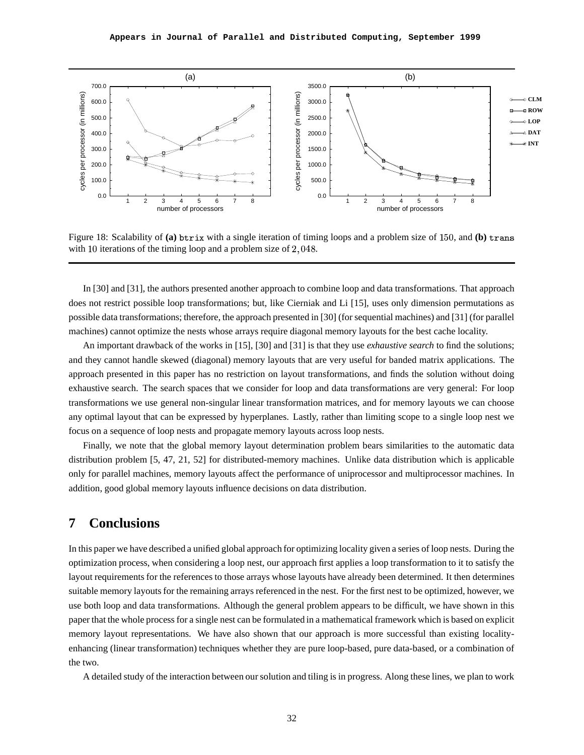

Figure 18: Scalability of (a) btrix with a single iteration of timing loops and a problem size of 150, and (b) trans with 10 iterations of the timing loop and a problem size of  $2,048$ .

In [30] and [31], the authors presented another approach to combine loop and data transformations. That approach does not restrict possible loop transformations; but, like Cierniak and Li [15], uses only dimension permutations as possible data transformations; therefore, the approach presented in [30] (for sequential machines) and [31] (for parallel machines) cannot optimize the nests whose arrays require diagonal memory layouts for the best cache locality.

An important drawback of the works in [15], [30] and [31] is that they use *exhaustive search* to find the solutions; and they cannot handle skewed (diagonal) memory layouts that are very useful for banded matrix applications. The approach presented in this paper has no restriction on layout transformations, and finds the solution without doing exhaustive search. The search spaces that we consider for loop and data transformations are very general: For loop transformations we use general non-singular linear transformation matrices, and for memory layouts we can choose any optimal layout that can be expressed by hyperplanes. Lastly, rather than limiting scope to a single loop nest we focus on a sequence of loop nests and propagate memory layouts across loop nests.

Finally, we note that the global memory layout determination problem bears similarities to the automatic data distribution problem [5, 47, 21, 52] for distributed-memory machines. Unlike data distribution which is applicable only for parallel machines, memory layouts affect the performance of uniprocessor and multiprocessor machines. In addition, good global memory layouts influence decisions on data distribution.

# **7 Conclusions**

In this paper we have described a unified global approach for optimizing locality given a series of loop nests. During the optimization process, when considering a loop nest, our approach first applies a loop transformation to it to satisfy the layout requirements for the references to those arrays whose layouts have already been determined. It then determines suitable memory layouts for the remaining arrays referenced in the nest. For the first nest to be optimized, however, we use both loop and data transformations. Although the general problem appears to be difficult, we have shown in this paper that the whole process for a single nest can be formulated in a mathematical framework which is based on explicit memory layout representations. We have also shown that our approach is more successful than existing localityenhancing (linear transformation) techniques whether they are pure loop-based, pure data-based, or a combination of the two.

A detailed study of the interaction between our solution and tiling is in progress. Along these lines, we plan to work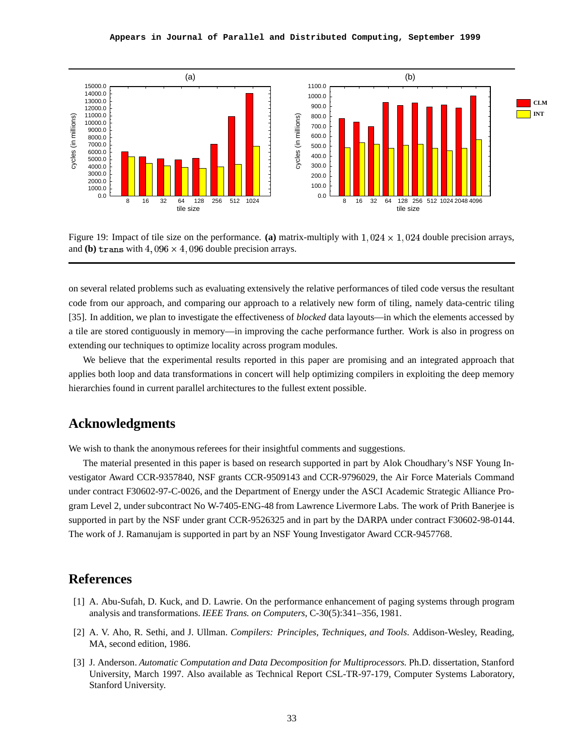

Figure 19: Impact of tile size on the performance. (a) matrix-multiply with  $1,024 \times 1,024$  double precision arrays, and **(b)** trans with  $4,096 \times 4,096$  double precision arrays.

on several related problems such as evaluating extensively the relative performances of tiled code versus the resultant code from our approach, and comparing our approach to a relatively new form of tiling, namely data-centric tiling [35]. In addition, we plan to investigate the effectiveness of *blocked* data layouts—in which the elements accessed by a tile are stored contiguously in memory—in improving the cache performance further. Work is also in progress on extending our techniques to optimize locality across program modules.

We believe that the experimental results reported in this paper are promising and an integrated approach that applies both loop and data transformations in concert will help optimizing compilers in exploiting the deep memory hierarchies found in current parallel architectures to the fullest extent possible.

# **Acknowledgments**

We wish to thank the anonymous referees for their insightful comments and suggestions.

The material presented in this paper is based on research supported in part by Alok Choudhary's NSF Young Investigator Award CCR-9357840, NSF grants CCR-9509143 and CCR-9796029, the Air Force Materials Command under contract F30602-97-C-0026, and the Department of Energy under the ASCI Academic Strategic Alliance Program Level 2, under subcontract No W-7405-ENG-48 from Lawrence Livermore Labs. The work of Prith Banerjee is supported in part by the NSF under grant CCR-9526325 and in part by the DARPA under contract F30602-98-0144. The work of J. Ramanujam is supported in part by an NSF Young Investigator Award CCR-9457768.

## **References**

- [1] A. Abu-Sufah, D. Kuck, and D. Lawrie. On the performance enhancement of paging systems through program analysis and transformations. *IEEE Trans. on Computers*, C-30(5):341–356, 1981.
- [2] A. V. Aho, R. Sethi, and J. Ullman. *Compilers: Principles, Techniques, and Tools*. Addison-Wesley, Reading, MA, second edition, 1986.
- [3] J. Anderson. *Automatic Computation and Data Decomposition for Multiprocessors.* Ph.D. dissertation, Stanford University, March 1997. Also available as Technical Report CSL-TR-97-179, Computer Systems Laboratory, Stanford University.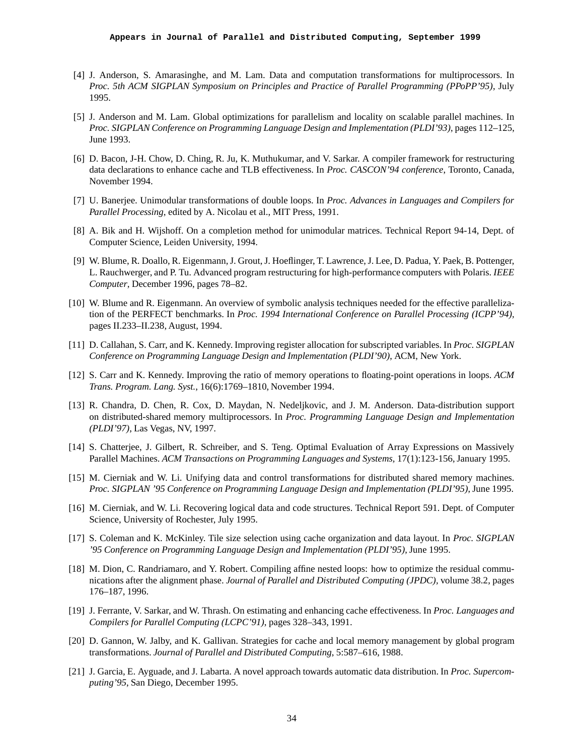- [4] J. Anderson, S. Amarasinghe, and M. Lam. Data and computation transformations for multiprocessors. In *Proc. 5th ACM SIGPLAN Symposium on Principles and Practice of Parallel Programming (PPoPP'95)*, July 1995.
- [5] J. Anderson and M. Lam. Global optimizations for parallelism and locality on scalable parallel machines. In *Proc. SIGPLAN Conference on Programming Language Design and Implementation (PLDI'93)*, pages 112–125, June 1993.
- [6] D. Bacon, J-H. Chow, D. Ching, R. Ju, K. Muthukumar, and V. Sarkar. A compiler framework for restructuring data declarations to enhance cache and TLB effectiveness. In *Proc. CASCON'94 conference*, Toronto, Canada, November 1994.
- [7] U. Banerjee. Unimodular transformations of double loops. In *Proc. Advances in Languages and Compilers for Parallel Processing*, edited by A. Nicolau et al., MIT Press, 1991.
- [8] A. Bik and H. Wijshoff. On a completion method for unimodular matrices. Technical Report 94-14, Dept. of Computer Science, Leiden University, 1994.
- [9] W. Blume, R. Doallo, R. Eigenmann,J. Grout, J. Hoeflinger, T. Lawrence,J. Lee, D. Padua, Y. Paek, B. Pottenger, L. Rauchwerger, and P. Tu. Advanced program restructuring for high-performance computers with Polaris. *IEEE Computer*, December 1996, pages 78–82.
- [10] W. Blume and R. Eigenmann. An overview of symbolic analysis techniques needed for the effective parallelization of the PERFECT benchmarks. In *Proc. 1994 International Conference on Parallel Processing (ICPP'94),* pages II.233–II.238, August, 1994.
- [11] D. Callahan, S. Carr, and K. Kennedy. Improving register allocation for subscripted variables. In *Proc. SIGPLAN Conference on Programming Language Design and Implementation (PLDI'90)*, ACM, New York.
- [12] S. Carr and K. Kennedy. Improving the ratio of memory operations to floating-point operations in loops. *ACM Trans. Program. Lang. Syst.*, 16(6):1769–1810, November 1994.
- [13] R. Chandra, D. Chen, R. Cox, D. Maydan, N. Nedeljkovic, and J. M. Anderson. Data-distribution support on distributed-shared memory multiprocessors. In *Proc. Programming Language Design and Implementation (PLDI'97)*, Las Vegas, NV, 1997.
- [14] S. Chatterjee, J. Gilbert, R. Schreiber, and S. Teng. Optimal Evaluation of Array Expressions on Massively Parallel Machines. *ACM Transactions on Programming Languages and Systems,* 17(1):123-156,January 1995.
- [15] M. Cierniak and W. Li. Unifying data and control transformations for distributed shared memory machines. *Proc. SIGPLAN '95 Conference on Programming Language Design and Implementation (PLDI'95)*, June 1995.
- [16] M. Cierniak, and W. Li. Recovering logical data and code structures. Technical Report 591. Dept. of Computer Science, University of Rochester, July 1995.
- [17] S. Coleman and K. McKinley. Tile size selection using cache organization and data layout. In *Proc. SIGPLAN '95 Conference on Programming Language Design and Implementation (PLDI'95)*, June 1995.
- [18] M. Dion, C. Randriamaro, and Y. Robert. Compiling affine nested loops: how to optimize the residual communications after the alignment phase. *Journal of Parallel and Distributed Computing (JPDC),* volume 38.2, pages 176–187, 1996.
- [19] J. Ferrante, V. Sarkar, and W. Thrash. On estimating and enhancing cache effectiveness. In *Proc. Languages and Compilers for Parallel Computing (LCPC'91)*, pages 328–343, 1991.
- [20] D. Gannon, W. Jalby, and K. Gallivan. Strategies for cache and local memory management by global program transformations. *Journal of Parallel and Distributed Computing*, 5:587–616, 1988.
- [21] J. Garcia, E. Ayguade, and J. Labarta. A novel approach towards automatic data distribution. In *Proc. Supercomputing'95*, San Diego, December 1995.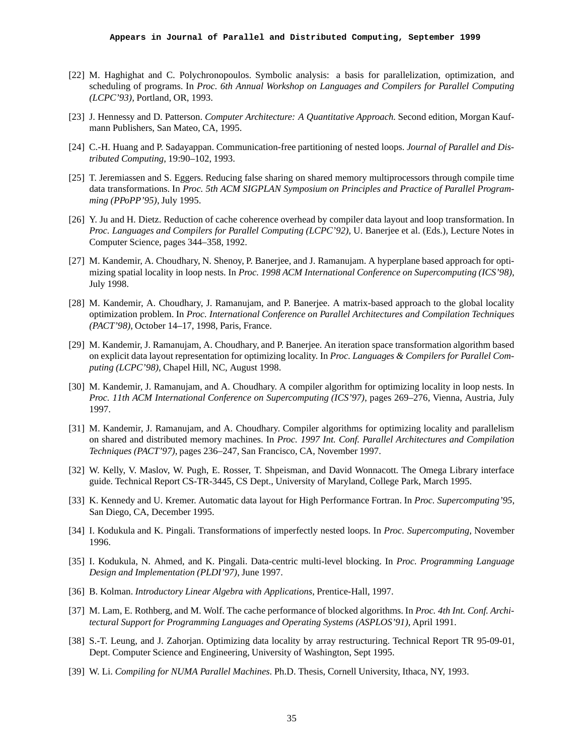- [22] M. Haghighat and C. Polychronopoulos. Symbolic analysis: a basis for parallelization, optimization, and scheduling of programs. In *Proc. 6th Annual Workshop on Languages and Compilers for Parallel Computing (LCPC'93),* Portland, OR, 1993.
- [23] J. Hennessy and D. Patterson. *Computer Architecture: A Quantitative Approach.* Second edition, Morgan Kaufmann Publishers, San Mateo, CA, 1995.
- [24] C.-H. Huang and P. Sadayappan. Communication-free partitioning of nested loops. *Journal of Parallel and Distributed Computing*, 19:90–102, 1993.
- [25] T. Jeremiassen and S. Eggers. Reducing false sharing on shared memory multiprocessors through compile time data transformations. In *Proc. 5th ACM SIGPLAN Symposium on Principles and Practice of Parallel Programming (PPoPP'95)*, July 1995.
- [26] Y. Ju and H. Dietz. Reduction of cache coherence overhead by compiler data layout and loop transformation. In *Proc. Languages and Compilers for Parallel Computing (LCPC'92),* U. Banerjee et al. (Eds.), Lecture Notes in Computer Science, pages 344–358, 1992.
- [27] M. Kandemir, A. Choudhary, N. Shenoy, P. Banerjee, and J. Ramanujam. A hyperplane based approach for optimizing spatial locality in loop nests. In *Proc. 1998 ACM International Conference on Supercomputing (ICS'98)*, July 1998.
- [28] M. Kandemir, A. Choudhary, J. Ramanujam, and P. Banerjee. A matrix-based approach to the global locality optimization problem. In *Proc. International Conference on Parallel Architectures and Compilation Techniques (PACT'98)*, October 14–17, 1998, Paris, France.
- [29] M. Kandemir, J. Ramanujam, A. Choudhary, and P. Banerjee. An iteration space transformation algorithm based on explicit data layout representation for optimizing locality. In *Proc. Languages & Compilers for Parallel Computing (LCPC'98)*, Chapel Hill, NC, August 1998.
- [30] M. Kandemir, J. Ramanujam, and A. Choudhary. A compiler algorithm for optimizing locality in loop nests. In *Proc. 11th ACM International Conference on Supercomputing (ICS'97)*, pages 269–276, Vienna, Austria, July 1997.
- [31] M. Kandemir, J. Ramanujam, and A. Choudhary. Compiler algorithms for optimizing locality and parallelism on shared and distributed memory machines. In *Proc. 1997 Int. Conf. Parallel Architectures and Compilation Techniques (PACT'97)*, pages 236–247, San Francisco, CA, November 1997.
- [32] W. Kelly, V. Maslov, W. Pugh, E. Rosser, T. Shpeisman, and David Wonnacott. The Omega Library interface guide. Technical Report CS-TR-3445, CS Dept., University of Maryland, College Park, March 1995.
- [33] K. Kennedy and U. Kremer. Automatic data layout for High Performance Fortran. In *Proc. Supercomputing'95*, San Diego, CA, December 1995.
- [34] I. Kodukula and K. Pingali. Transformations of imperfectly nested loops. In *Proc. Supercomputing*, November 1996.
- [35] I. Kodukula, N. Ahmed, and K. Pingali. Data-centric multi-level blocking. In *Proc. Programming Language Design and Implementation (PLDI'97)*, June 1997.
- [36] B. Kolman. *Introductory Linear Algebra with Applications*, Prentice-Hall, 1997.
- [37] M. Lam, E. Rothberg, and M. Wolf. The cache performance of blocked algorithms. In *Proc. 4th Int. Conf. Architectural Support for Programming Languages and Operating Systems (ASPLOS'91)*, April 1991.
- [38] S.-T. Leung, and J. Zahorjan. Optimizing data locality by array restructuring. Technical Report TR 95-09-01, Dept. Computer Science and Engineering, University of Washington, Sept 1995.
- [39] W. Li. *Compiling for NUMA Parallel Machines*. Ph.D. Thesis, Cornell University, Ithaca, NY, 1993.